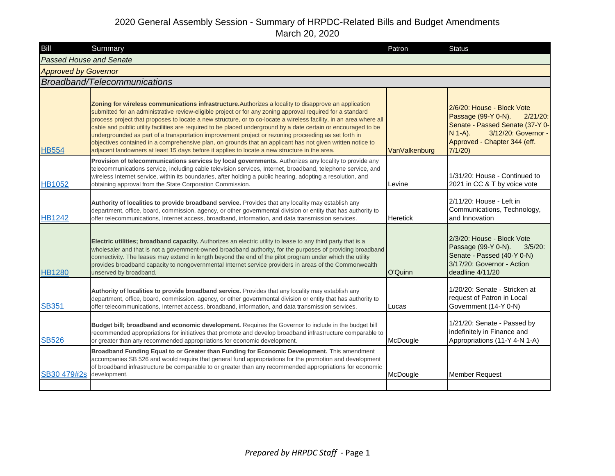| Bill                           | Summary                                                                                                                                                                                                                                                                                                                                                                                                                                                                                                                                                                                                                                                                                                                                                                             | Patron          | <b>Status</b>                                                                                                                                                                     |
|--------------------------------|-------------------------------------------------------------------------------------------------------------------------------------------------------------------------------------------------------------------------------------------------------------------------------------------------------------------------------------------------------------------------------------------------------------------------------------------------------------------------------------------------------------------------------------------------------------------------------------------------------------------------------------------------------------------------------------------------------------------------------------------------------------------------------------|-----------------|-----------------------------------------------------------------------------------------------------------------------------------------------------------------------------------|
| <b>Passed House and Senate</b> |                                                                                                                                                                                                                                                                                                                                                                                                                                                                                                                                                                                                                                                                                                                                                                                     |                 |                                                                                                                                                                                   |
| <b>Approved by Governor</b>    |                                                                                                                                                                                                                                                                                                                                                                                                                                                                                                                                                                                                                                                                                                                                                                                     |                 |                                                                                                                                                                                   |
|                                | Broadband/Telecommunications                                                                                                                                                                                                                                                                                                                                                                                                                                                                                                                                                                                                                                                                                                                                                        |                 |                                                                                                                                                                                   |
| <b>HB554</b>                   | Zoning for wireless communications infrastructure. Authorizes a locality to disapprove an application<br>submitted for an administrative review-eligible project or for any zoning approval required for a standard<br>process project that proposes to locate a new structure, or to co-locate a wireless facility, in an area where all<br>cable and public utility facilities are required to be placed underground by a date certain or encouraged to be<br>undergrounded as part of a transportation improvement project or rezoning proceeding as set forth in<br>objectives contained in a comprehensive plan, on grounds that an applicant has not given written notice to<br>adjacent landowners at least 15 days before it applies to locate a new structure in the area. | VanValkenburg   | 2/6/20: House - Block Vote<br>Passage (99-Y 0-N).<br>$2/21/20$ :<br>Senate - Passed Senate (37-Y 0-<br>3/12/20: Governor -<br>$N$ 1-A).<br>Approved - Chapter 344 (eff.<br>7/1/20 |
| <b>HB1052</b>                  | Provision of telecommunications services by local governments. Authorizes any locality to provide any<br>telecommunications service, including cable television services, Internet, broadband, telephone service, and<br>wireless Internet service, within its boundaries, after holding a public hearing, adopting a resolution, and<br>obtaining approval from the State Corporation Commission.                                                                                                                                                                                                                                                                                                                                                                                  | Levine          | 1/31/20: House - Continued to<br>2021 in CC & T by voice vote                                                                                                                     |
| <b>HB1242</b>                  | Authority of localities to provide broadband service. Provides that any locality may establish any<br>department, office, board, commission, agency, or other governmental division or entity that has authority to<br>offer telecommunications, Internet access, broadband, information, and data transmission services.                                                                                                                                                                                                                                                                                                                                                                                                                                                           | <b>Heretick</b> | 2/11/20: House - Left in<br>Communications, Technology,<br>and Innovation                                                                                                         |
| <b>HB1280</b>                  | Electric utilities; broadband capacity. Authorizes an electric utility to lease to any third party that is a<br>wholesaler and that is not a government-owned broadband authority, for the purposes of providing broadband<br>connectivity. The leases may extend in length beyond the end of the pilot program under which the utility<br>provides broadband capacity to nongovernmental Internet service providers in areas of the Commonwealth<br>unserved by broadband.                                                                                                                                                                                                                                                                                                         | O'Quinn         | 2/3/20: House - Block Vote<br>Passage (99-Y 0-N).<br>$3/5/20$ :<br>Senate - Passed (40-Y 0-N)<br>3/17/20: Governor - Action<br>deadline 4/11/20                                   |
| <b>SB351</b>                   | Authority of localities to provide broadband service. Provides that any locality may establish any<br>department, office, board, commission, agency, or other governmental division or entity that has authority to<br>offer telecommunications, Internet access, broadband, information, and data transmission services.                                                                                                                                                                                                                                                                                                                                                                                                                                                           | Lucas           | 1/20/20: Senate - Stricken at<br>request of Patron in Local<br>Government (14-Y 0-N)                                                                                              |
| <b>SB526</b>                   | Budget bill; broadband and economic development. Requires the Governor to include in the budget bill<br>recommended appropriations for initiatives that promote and develop broadband infrastructure comparable to<br>or greater than any recommended appropriations for economic development.                                                                                                                                                                                                                                                                                                                                                                                                                                                                                      | McDougle        | 1/21/20: Senate - Passed by<br>indefinitely in Finance and<br>Appropriations (11-Y 4-N 1-A)                                                                                       |
| SB30 479#2s                    | Broadband Funding Equal to or Greater than Funding for Economic Development. This amendment<br>accompanies SB 526 and would require that general fund appropriations for the promotion and development<br>of broadband infrastructure be comparable to or greater than any recommended appropriations for economic<br>development.                                                                                                                                                                                                                                                                                                                                                                                                                                                  | McDougle        | <b>Member Request</b>                                                                                                                                                             |
|                                |                                                                                                                                                                                                                                                                                                                                                                                                                                                                                                                                                                                                                                                                                                                                                                                     |                 |                                                                                                                                                                                   |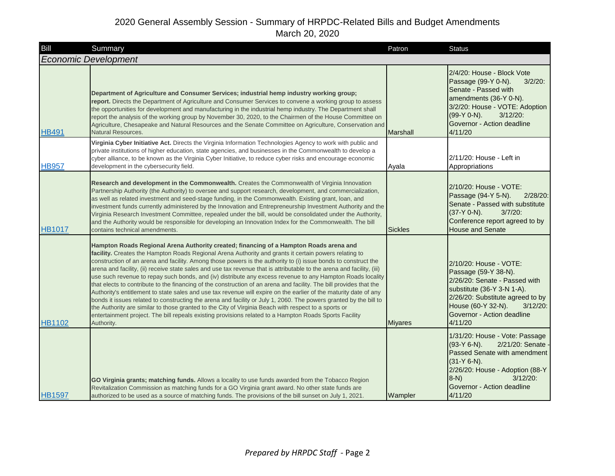| Bill          | Summary                                                                                                                                                                                                                                                                                                                                                                                                                                                                                                                                                                                                                                                                                                                                                                                                                                                                                                                                                                                                                                                                                                                                                    | Patron         | <b>Status</b>                                                                                                                                                                                                                   |
|---------------|------------------------------------------------------------------------------------------------------------------------------------------------------------------------------------------------------------------------------------------------------------------------------------------------------------------------------------------------------------------------------------------------------------------------------------------------------------------------------------------------------------------------------------------------------------------------------------------------------------------------------------------------------------------------------------------------------------------------------------------------------------------------------------------------------------------------------------------------------------------------------------------------------------------------------------------------------------------------------------------------------------------------------------------------------------------------------------------------------------------------------------------------------------|----------------|---------------------------------------------------------------------------------------------------------------------------------------------------------------------------------------------------------------------------------|
|               | <b>Economic Development</b>                                                                                                                                                                                                                                                                                                                                                                                                                                                                                                                                                                                                                                                                                                                                                                                                                                                                                                                                                                                                                                                                                                                                |                |                                                                                                                                                                                                                                 |
| <b>HB491</b>  | Department of Agriculture and Consumer Services; industrial hemp industry working group;<br>report. Directs the Department of Agriculture and Consumer Services to convene a working group to assess<br>the opportunities for development and manufacturing in the industrial hemp industry. The Department shall<br>report the analysis of the working group by November 30, 2020, to the Chairmen of the House Committee on<br>Agriculture, Chesapeake and Natural Resources and the Senate Committee on Agriculture, Conservation and<br>Natural Resources.                                                                                                                                                                                                                                                                                                                                                                                                                                                                                                                                                                                             | Marshall       | 2/4/20: House - Block Vote<br>Passage (99-Y 0-N).<br>$3/2/20$ :<br>Senate - Passed with<br>amendments (36-Y 0-N).<br>3/2/20: House - VOTE: Adoption<br>$3/12/20$ :<br>(99-Y 0-N).<br>Governor - Action deadline<br>4/11/20      |
| <b>HB957</b>  | Virginia Cyber Initiative Act. Directs the Virginia Information Technologies Agency to work with public and<br>private institutions of higher education, state agencies, and businesses in the Commonwealth to develop a<br>cyber alliance, to be known as the Virginia Cyber Initiative, to reduce cyber risks and encourage economic<br>development in the cybersecurity field.                                                                                                                                                                                                                                                                                                                                                                                                                                                                                                                                                                                                                                                                                                                                                                          | Ayala          | 2/11/20: House - Left in<br>Appropriations                                                                                                                                                                                      |
| <b>HB1017</b> | Research and development in the Commonwealth. Creates the Commonwealth of Virginia Innovation<br>Partnership Authority (the Authority) to oversee and support research, development, and commercialization,<br>as well as related investment and seed-stage funding, in the Commonwealth. Existing grant, loan, and<br>investment funds currently administered by the Innovation and Entrepreneurship Investment Authority and the<br>Virginia Research Investment Committee, repealed under the bill, would be consolidated under the Authority,<br>and the Authority would be responsible for developing an Innovation Index for the Commonwealth. The bill<br>contains technical amendments.                                                                                                                                                                                                                                                                                                                                                                                                                                                            | <b>Sickles</b> | 2/10/20: House - VOTE:<br>Passage (94-Y 5-N).<br>$2/28/20$ :<br>Senate - Passed with substitute<br>$(37-Y 0-N)$ .<br>$3/7/20$ :<br>Conference report agreed to by<br><b>House and Senate</b>                                    |
| <b>HB1102</b> | Hampton Roads Regional Arena Authority created; financing of a Hampton Roads arena and<br>facility. Creates the Hampton Roads Regional Arena Authority and grants it certain powers relating to<br>construction of an arena and facility. Among those powers is the authority to (i) issue bonds to construct the<br>arena and facility, (ii) receive state sales and use tax revenue that is attributable to the arena and facility, (iii)<br>use such revenue to repay such bonds, and (iv) distribute any excess revenue to any Hampton Roads locality<br>that elects to contribute to the financing of the construction of an arena and facility. The bill provides that the<br>Authority's entitlement to state sales and use tax revenue will expire on the earlier of the maturity date of any<br>bonds it issues related to constructing the arena and facility or July 1, 2060. The powers granted by the bill to<br>the Authority are similar to those granted to the City of Virginia Beach with respect to a sports or<br>entertainment project. The bill repeals existing provisions related to a Hampton Roads Sports Facility<br>Authority. | <b>Miyares</b> | 2/10/20: House - VOTE:<br>Passage (59-Y 38-N).<br>2/26/20: Senate - Passed with<br>substitute (36-Y 3-N 1-A).<br>2/26/20: Substitute agreed to by<br>House (60-Y 32-N).<br>$3/12/20$ :<br>Governor - Action deadline<br>4/11/20 |
| <b>HB1597</b> | GO Virginia grants; matching funds. Allows a locality to use funds awarded from the Tobacco Region<br>Revitalization Commission as matching funds for a GO Virginia grant award. No other state funds are<br>authorized to be used as a source of matching funds. The provisions of the bill sunset on July 1, 2021.                                                                                                                                                                                                                                                                                                                                                                                                                                                                                                                                                                                                                                                                                                                                                                                                                                       | Wampler        | 1/31/20: House - Vote: Passage<br>$(93-Y 6-N)$ .<br>2/21/20: Senate<br>Passed Senate with amendment<br>$(31-Y 6-N)$ .<br>2/26/20: House - Adoption (88-Y<br>$3/12/20$ :<br>$8-N$ )<br>Governor - Action deadline<br>4/11/20     |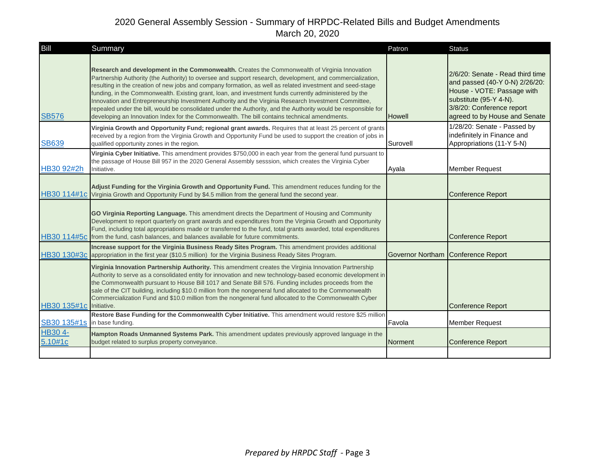| <b>Bill</b>        | Summary                                                                                                                                                                                                                                                                                                                                                                                                                                                                                                                                                                                                                                                                                                                                                      | Patron        | <b>Status</b>                                                                                                                                                                            |
|--------------------|--------------------------------------------------------------------------------------------------------------------------------------------------------------------------------------------------------------------------------------------------------------------------------------------------------------------------------------------------------------------------------------------------------------------------------------------------------------------------------------------------------------------------------------------------------------------------------------------------------------------------------------------------------------------------------------------------------------------------------------------------------------|---------------|------------------------------------------------------------------------------------------------------------------------------------------------------------------------------------------|
| <b>SB576</b>       | Research and development in the Commonwealth. Creates the Commonwealth of Virginia Innovation<br>Partnership Authority (the Authority) to oversee and support research, development, and commercialization,<br>resulting in the creation of new jobs and company formation, as well as related investment and seed-stage<br>funding, in the Commonwealth. Existing grant, loan, and investment funds currently administered by the<br>Innovation and Entrepreneurship Investment Authority and the Virginia Research Investment Committee,<br>repealed under the bill, would be consolidated under the Authority, and the Authority would be responsible for<br>developing an Innovation Index for the Commonwealth. The bill contains technical amendments. | <b>Howell</b> | 2/6/20: Senate - Read third time<br>and passed (40-Y 0-N) 2/26/20:<br>House - VOTE: Passage with<br>substitute (95-Y 4-N).<br>3/8/20: Conference report<br>agreed to by House and Senate |
| <b>SB639</b>       | Virginia Growth and Opportunity Fund; regional grant awards. Requires that at least 25 percent of grants<br>received by a region from the Virginia Growth and Opportunity Fund be used to support the creation of jobs in<br>qualified opportunity zones in the region.                                                                                                                                                                                                                                                                                                                                                                                                                                                                                      | Surovell      | 1/28/20: Senate - Passed by<br>indefinitely in Finance and<br>Appropriations (11-Y 5-N)                                                                                                  |
| HB30 92#2h         | Virginia Cyber Initiative. This amendment provides \$750,000 in each year from the general fund pursuant to<br>the passage of House Bill 957 in the 2020 General Assembly sesssion, which creates the Virginia Cyber<br>Initiative.                                                                                                                                                                                                                                                                                                                                                                                                                                                                                                                          | Ayala         | <b>Member Request</b>                                                                                                                                                                    |
|                    | Adjust Funding for the Virginia Growth and Opportunity Fund. This amendment reduces funding for the<br>HB30 114#1c Virginia Growth and Opportunity Fund by \$4.5 million from the general fund the second year.                                                                                                                                                                                                                                                                                                                                                                                                                                                                                                                                              |               | <b>Conference Report</b>                                                                                                                                                                 |
|                    | GO Virginia Reporting Language. This amendment directs the Department of Housing and Community<br>Development to report quarterly on grant awards and expenditures from the Virginia Growth and Opportunity<br>Fund, including total appropriations made or transferred to the fund, total grants awarded, total expenditures<br>HB30 114#5c from the fund, cash balances, and balances available for future commitments.                                                                                                                                                                                                                                                                                                                                    |               | <b>Conference Report</b>                                                                                                                                                                 |
|                    | Increase support for the Virginia Business Ready Sites Program. This amendment provides additional<br>HB30 130#3c appropriation in the first year (\$10.5 million) for the Virginia Business Ready Sites Program.                                                                                                                                                                                                                                                                                                                                                                                                                                                                                                                                            |               | Governor Northam Conference Report                                                                                                                                                       |
| HB30 135#1c        | Virginia Innovation Partnership Authority. This amendment creates the Virginia Innovation Partnership<br>Authority to serve as a consolidated entity for innovation and new technology-based economic development in<br>the Commonwealth pursuant to House Bill 1017 and Senate Bill 576. Funding includes proceeds from the<br>sale of the CIT building, including \$10.0 million from the nongeneral fund allocated to the Commonwealth<br>Commercialization Fund and \$10.0 million from the nongeneral fund allocated to the Commonwealth Cyber<br>Initiative.                                                                                                                                                                                           |               | <b>Conference Report</b>                                                                                                                                                                 |
| SB30 135#1s        | Restore Base Funding for the Commonwealth Cyber Initiative. This amendment would restore \$25 million<br>in base funding.                                                                                                                                                                                                                                                                                                                                                                                                                                                                                                                                                                                                                                    | Favola        | <b>Member Request</b>                                                                                                                                                                    |
| HB30 4-<br>5.10#1c | Hampton Roads Unmanned Systems Park. This amendment updates previously approved language in the<br>budget related to surplus property conveyance.                                                                                                                                                                                                                                                                                                                                                                                                                                                                                                                                                                                                            | Norment       | <b>Conference Report</b>                                                                                                                                                                 |
|                    |                                                                                                                                                                                                                                                                                                                                                                                                                                                                                                                                                                                                                                                                                                                                                              |               |                                                                                                                                                                                          |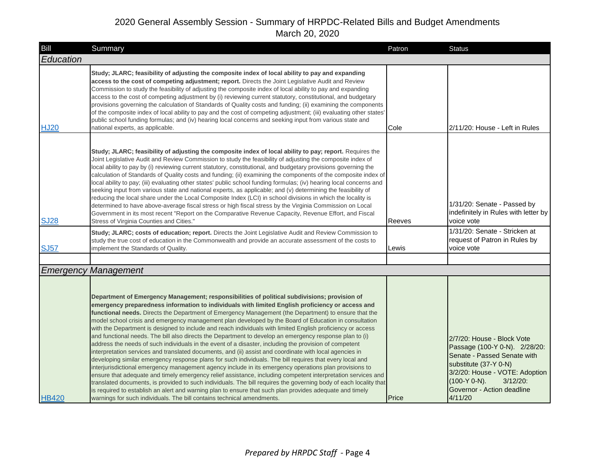| Bill         | Summary                                                                                                                                                                                                                                                                                                                                                                                                                                                                                                                                                                                                                                                                                                                                                                                                                                                                                                                                                                                                                                                                                                                                                                                                                                                                                                                                                                                                                                                                                                           | Patron | <b>Status</b>                                                                                                                                                                                                                    |
|--------------|-------------------------------------------------------------------------------------------------------------------------------------------------------------------------------------------------------------------------------------------------------------------------------------------------------------------------------------------------------------------------------------------------------------------------------------------------------------------------------------------------------------------------------------------------------------------------------------------------------------------------------------------------------------------------------------------------------------------------------------------------------------------------------------------------------------------------------------------------------------------------------------------------------------------------------------------------------------------------------------------------------------------------------------------------------------------------------------------------------------------------------------------------------------------------------------------------------------------------------------------------------------------------------------------------------------------------------------------------------------------------------------------------------------------------------------------------------------------------------------------------------------------|--------|----------------------------------------------------------------------------------------------------------------------------------------------------------------------------------------------------------------------------------|
| Education    |                                                                                                                                                                                                                                                                                                                                                                                                                                                                                                                                                                                                                                                                                                                                                                                                                                                                                                                                                                                                                                                                                                                                                                                                                                                                                                                                                                                                                                                                                                                   |        |                                                                                                                                                                                                                                  |
| <b>HJ20</b>  | Study; JLARC; feasibility of adjusting the composite index of local ability to pay and expanding<br>access to the cost of competing adjustment; report. Directs the Joint Legislative Audit and Review<br>Commission to study the feasibility of adjusting the composite index of local ability to pay and expanding<br>access to the cost of competing adjustment by (i) reviewing current statutory, constitutional, and budgetary<br>provisions governing the calculation of Standards of Quality costs and funding; (ii) examining the components<br>of the composite index of local ability to pay and the cost of competing adjustment; (iii) evaluating other states'<br>public school funding formulas; and (iv) hearing local concerns and seeking input from various state and<br>national experts, as applicable.                                                                                                                                                                                                                                                                                                                                                                                                                                                                                                                                                                                                                                                                                      | Cole   | 2/11/20: House - Left in Rules                                                                                                                                                                                                   |
| <b>SJ28</b>  | Study; JLARC; feasibility of adjusting the composite index of local ability to pay; report. Requires the<br>Joint Legislative Audit and Review Commission to study the feasibility of adjusting the composite index of<br>local ability to pay by (i) reviewing current statutory, constitutional, and budgetary provisions governing the<br>calculation of Standards of Quality costs and funding; (ii) examining the components of the composite index of<br>local ability to pay; (iii) evaluating other states' public school funding formulas; (iv) hearing local concerns and<br>seeking input from various state and national experts, as applicable; and (v) determining the feasibility of<br>reducing the local share under the Local Composite Index (LCI) in school divisions in which the locality is<br>determined to have above-average fiscal stress or high fiscal stress by the Virginia Commission on Local<br>Government in its most recent "Report on the Comparative Revenue Capacity, Revenue Effort, and Fiscal<br>Stress of Virginia Counties and Cities."<br>Study; JLARC; costs of education; report. Directs the Joint Legislative Audit and Review Commission to                                                                                                                                                                                                                                                                                                                     | Reeves | 1/31/20: Senate - Passed by<br>indefinitely in Rules with letter by<br>voice vote<br>1/31/20: Senate - Stricken at                                                                                                               |
| <b>SJ57</b>  | study the true cost of education in the Commonwealth and provide an accurate assessment of the costs to<br>implement the Standards of Quality.                                                                                                                                                                                                                                                                                                                                                                                                                                                                                                                                                                                                                                                                                                                                                                                                                                                                                                                                                                                                                                                                                                                                                                                                                                                                                                                                                                    | Lewis  | request of Patron in Rules by<br>voice vote                                                                                                                                                                                      |
|              |                                                                                                                                                                                                                                                                                                                                                                                                                                                                                                                                                                                                                                                                                                                                                                                                                                                                                                                                                                                                                                                                                                                                                                                                                                                                                                                                                                                                                                                                                                                   |        |                                                                                                                                                                                                                                  |
|              | <b>Emergency Management</b>                                                                                                                                                                                                                                                                                                                                                                                                                                                                                                                                                                                                                                                                                                                                                                                                                                                                                                                                                                                                                                                                                                                                                                                                                                                                                                                                                                                                                                                                                       |        |                                                                                                                                                                                                                                  |
| <b>HB420</b> | Department of Emergency Management; responsibilities of political subdivisions; provision of<br>emergency preparedness information to individuals with limited English proficiency or access and<br>functional needs. Directs the Department of Emergency Management (the Department) to ensure that the<br>model school crisis and emergency management plan developed by the Board of Education in consultation<br>with the Department is designed to include and reach individuals with limited English proficiency or access<br>and functional needs. The bill also directs the Department to develop an emergency response plan to (i)<br>address the needs of such individuals in the event of a disaster, including the provision of competent<br>interpretation services and translated documents, and (ii) assist and coordinate with local agencies in<br>developing similar emergency response plans for such individuals. The bill requires that every local and<br>interjurisdictional emergency management agency include in its emergency operations plan provisions to<br>ensure that adequate and timely emergency relief assistance, including competent interpretation services and<br>translated documents, is provided to such individuals. The bill requires the governing body of each locality that<br>is required to establish an alert and warning plan to ensure that such plan provides adequate and timely<br>warnings for such individuals. The bill contains technical amendments. | Price  | 2/7/20: House - Block Vote<br>Passage (100-Y 0-N). 2/28/20:<br>Senate - Passed Senate with<br>substitute (37-Y 0-N)<br>3/2/20: House - VOTE: Adoption<br>$(100-Y 0-N)$ .<br>$3/12/20$ :<br>Governor - Action deadline<br>4/11/20 |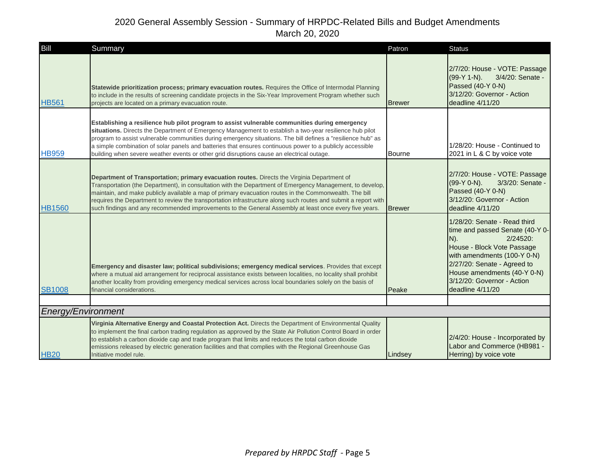| Bill               | Summary                                                                                                                                                                                                                                                                                                                                                                                                                                                                                                                                        | Patron        | <b>Status</b>                                                                                                                                                                                                                                                      |
|--------------------|------------------------------------------------------------------------------------------------------------------------------------------------------------------------------------------------------------------------------------------------------------------------------------------------------------------------------------------------------------------------------------------------------------------------------------------------------------------------------------------------------------------------------------------------|---------------|--------------------------------------------------------------------------------------------------------------------------------------------------------------------------------------------------------------------------------------------------------------------|
| <b>HB561</b>       | Statewide prioritization process; primary evacuation routes. Requires the Office of Intermodal Planning<br>to include in the results of screening candidate projects in the Six-Year Improvement Program whether such<br>projects are located on a primary evacuation route.                                                                                                                                                                                                                                                                   | <b>Brewer</b> | 2/7/20: House - VOTE: Passage<br>$(99-Y 1-N)$ .<br>3/4/20: Senate -<br>Passed (40-Y 0-N)<br>3/12/20: Governor - Action<br>deadline 4/11/20                                                                                                                         |
| <b>HB959</b>       | Establishing a resilience hub pilot program to assist vulnerable communities during emergency<br>situations. Directs the Department of Emergency Management to establish a two-year resilience hub pilot<br>program to assist vulnerable communities during emergency situations. The bill defines a "resilience hub" as<br>a simple combination of solar panels and batteries that ensures continuous power to a publicly accessible<br>building when severe weather events or other grid disruptions cause an electrical outage.             | <b>Bourne</b> | 1/28/20: House - Continued to<br>2021 in L & C by voice vote                                                                                                                                                                                                       |
| <b>HB1560</b>      | Department of Transportation; primary evacuation routes. Directs the Virginia Department of<br>Transportation (the Department), in consultation with the Department of Emergency Management, to develop,<br>maintain, and make publicly available a map of primary evacuation routes in the Commonwealth. The bill<br>requires the Department to review the transportation infrastructure along such routes and submit a report with<br>such findings and any recommended improvements to the General Assembly at least once every five years. | <b>Brewer</b> | 2/7/20: House - VOTE: Passage<br>(99-Y 0-N).<br>3/3/20: Senate -<br>Passed (40-Y 0-N)<br>3/12/20: Governor - Action<br>deadline 4/11/20                                                                                                                            |
| <b>SB1008</b>      | Emergency and disaster law; political subdivisions; emergency medical services. Provides that except<br>where a mutual aid arrangement for reciprocal assistance exists between localities, no locality shall prohibit<br>another locality from providing emergency medical services across local boundaries solely on the basis of<br>financial considerations.                                                                                                                                                                               | Peake         | 1/28/20: Senate - Read third<br>time and passed Senate (40-Y 0-<br>$N$ ).<br>2/24520:<br>House - Block Vote Passage<br>with amendments (100-Y 0-N)<br>2/27/20: Senate - Agreed to<br>House amendments (40-Y 0-N)<br>3/12/20: Governor - Action<br>deadline 4/11/20 |
|                    |                                                                                                                                                                                                                                                                                                                                                                                                                                                                                                                                                |               |                                                                                                                                                                                                                                                                    |
| Energy/Environment |                                                                                                                                                                                                                                                                                                                                                                                                                                                                                                                                                |               |                                                                                                                                                                                                                                                                    |
| <b>HB20</b>        | Virginia Alternative Energy and Coastal Protection Act. Directs the Department of Environmental Quality<br>to implement the final carbon trading regulation as approved by the State Air Pollution Control Board in order<br>to establish a carbon dioxide cap and trade program that limits and reduces the total carbon dioxide<br>emissions released by electric generation facilities and that complies with the Regional Greenhouse Gas<br>Initiative model rule.                                                                         | Lindsey       | 2/4/20: House - Incorporated by<br>Labor and Commerce (HB981 -<br>Herring) by voice vote                                                                                                                                                                           |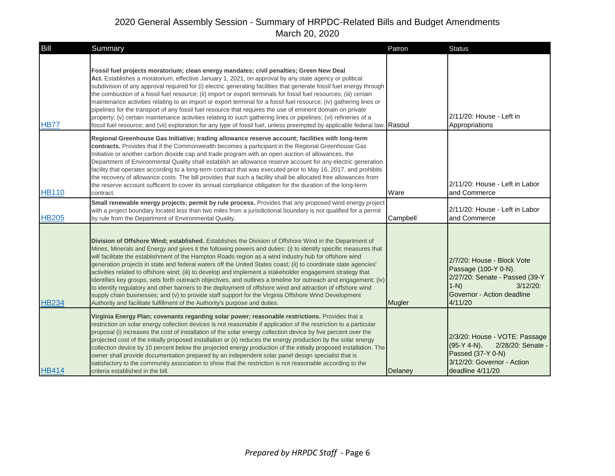| Bill         | Summary                                                                                                                                                                                                                                                                                                                                                                                                                                                                                                                                                                                                                                                                                                                                                                                                                                                                                                                                                                                         | Patron   | <b>Status</b>                                                                                                                                         |
|--------------|-------------------------------------------------------------------------------------------------------------------------------------------------------------------------------------------------------------------------------------------------------------------------------------------------------------------------------------------------------------------------------------------------------------------------------------------------------------------------------------------------------------------------------------------------------------------------------------------------------------------------------------------------------------------------------------------------------------------------------------------------------------------------------------------------------------------------------------------------------------------------------------------------------------------------------------------------------------------------------------------------|----------|-------------------------------------------------------------------------------------------------------------------------------------------------------|
| <b>HB77</b>  | Fossil fuel projects moratorium; clean energy mandates; civil penalties; Green New Deal<br>Act. Establishes a moratorium, effective January 1, 2021, on approval by any state agency or political<br>subdivision of any approval required for (i) electric generating facilities that generate fossil fuel energy through<br>the combustion of a fossil fuel resource; (ii) import or export terminals for fossil fuel resources; (iii) certain<br>maintenance activities relating to an import or export terminal for a fossil fuel resource; (iv) gathering lines or<br>pipelines for the transport of any fossil fuel resource that requires the use of eminent domain on private<br>property; (v) certain maintenance activities relating to such gathering lines or pipelines; (vi) refineries of a<br>fossil fuel resource; and (vii) exploration for any type of fossil fuel, unless preempted by applicable federal law. Rasoul                                                         |          | 2/11/20: House - Left in<br>Appropriations                                                                                                            |
| <b>HB110</b> | Regional Greenhouse Gas Initiative; trading allowance reserve account; facilities with long-term<br>contracts. Provides that if the Commonwealth becomes a participant in the Regional Greenhouse Gas<br>Initiative or another carbon dioxide cap and trade program with an open auction of allowances, the<br>Department of Environmental Quality shall establish an allowance reserve account for any electric generation<br>facility that operates according to a long-term contract that was executed prior to May 16, 2017, and prohibits<br>the recovery of allowance costs. The bill provides that such a facility shall be allocated free allowances from<br>the reserve account sufficient to cover its annual compliance obligation for the duration of the long-term<br>contract.<br>Small renewable energy projects; permit by rule process. Provides that any proposed wind energy project                                                                                         | Ware     | 2/11/20: House - Left in Labor<br>and Commerce                                                                                                        |
| <b>HB205</b> | with a project boundary located less than two miles from a jurisdictional boundary is not qualified for a permit<br>by rule from the Department of Environmental Quality.                                                                                                                                                                                                                                                                                                                                                                                                                                                                                                                                                                                                                                                                                                                                                                                                                       | Campbell | 2/11/20: House - Left in Labor<br>and Commerce                                                                                                        |
| <b>HB234</b> | Division of Offshore Wind; established. Establishes the Division of Offshore Wind in the Department of<br>Mines, Minerals and Energy and gives it the following powers and duties: (i) to identify specific measures that<br>will facilitate the establishment of the Hampton Roads region as a wind industry hub for offshore wind<br>generation projects in state and federal waters off the United States coast; (ii) to coordinate state agencies'<br>activities related to offshore wind; (iii) to develop and implement a stakeholder engagement strategy that<br>identifies key groups, sets forth outreach objectives, and outlines a timeline for outreach and engagement; (iv)<br>to identify regulatory and other barriers to the deployment of offshore wind and attraction of offshore wind<br>supply chain businesses; and (v) to provide staff support for the Virginia Offshore Wind Development<br>Authority and facilitate fulfillment of the Authority's purpose and duties. | Mugler   | 2/7/20: House - Block Vote<br>Passage (100-Y 0-N).<br>2/27/20: Senate - Passed (39-Y<br>$1-N$<br>$3/12/20$ :<br>Governor - Action deadline<br>4/11/20 |
| <b>HB414</b> | Virginia Energy Plan; covenants regarding solar power; reasonable restrictions. Provides that a<br>restriction on solar energy collection devices is not reasonable if application of the restriction to a particular<br>proposal (i) increases the cost of installation of the solar energy collection device by five percent over the<br>projected cost of the initially proposed installation or (ii) reduces the energy production by the solar energy<br>collection device by 10 percent below the projected energy production of the initially proposed installation. The<br>owner shall provide documentation prepared by an independent solar panel design specialist that is<br>satisfactory to the community association to show that the restriction is not reasonable according to the<br>criteria established in the bill.                                                                                                                                                         | Delaney  | 2/3/20: House - VOTE: Passage<br>$(95-Y 4-N)$ .<br>2/28/20: Senate -<br>Passed (37-Y 0-N)<br>3/12/20: Governor - Action<br>deadline 4/11/20           |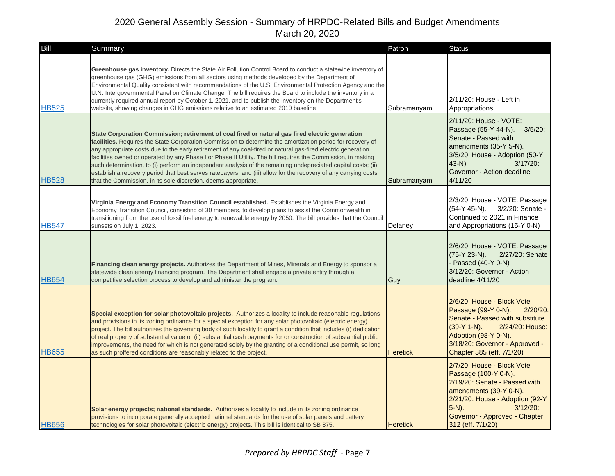| Bill         | Summary                                                                                                                                                                                                                                                                                                                                                                                                                                                                                                                                                                                                                                                                                                                                              | Patron          | <b>Status</b>                                                                                                                                                                                                                     |
|--------------|------------------------------------------------------------------------------------------------------------------------------------------------------------------------------------------------------------------------------------------------------------------------------------------------------------------------------------------------------------------------------------------------------------------------------------------------------------------------------------------------------------------------------------------------------------------------------------------------------------------------------------------------------------------------------------------------------------------------------------------------------|-----------------|-----------------------------------------------------------------------------------------------------------------------------------------------------------------------------------------------------------------------------------|
| <b>HB525</b> | Greenhouse gas inventory. Directs the State Air Pollution Control Board to conduct a statewide inventory of<br>greenhouse gas (GHG) emissions from all sectors using methods developed by the Department of<br>Environmental Quality consistent with recommendations of the U.S. Environmental Protection Agency and the<br>U.N. Intergovernmental Panel on Climate Change. The bill requires the Board to include the inventory in a<br>currently required annual report by October 1, 2021, and to publish the inventory on the Department's<br>website, showing changes in GHG emissions relative to an estimated 2010 baseline.                                                                                                                  | Subramanyam     | 2/11/20: House - Left in<br>Appropriations                                                                                                                                                                                        |
| <b>HB528</b> | State Corporation Commission; retirement of coal fired or natural gas fired electric generation<br>facilities. Requires the State Corporation Commission to determine the amortization period for recovery of<br>any appropriate costs due to the early retirement of any coal-fired or natural gas-fired electric generation<br>facilities owned or operated by any Phase I or Phase II Utility. The bill requires the Commission, in making<br>such determination, to (i) perform an independent analysis of the remaining undepreciated capital costs; (ii)<br>establish a recovery period that best serves ratepayers; and (iii) allow for the recovery of any carrying costs<br>that the Commission, in its sole discretion, deems appropriate. | Subramanyam     | 2/11/20: House - VOTE:<br>Passage (55-Y 44-N). 3/5/20:<br>Senate - Passed with<br>amendments (35-Y 5-N).<br>3/5/20: House - Adoption (50-Y<br>$43-N$ )<br>$3/17/20$ :<br>Governor - Action deadline<br>4/11/20                    |
| HB547        | Virginia Energy and Economy Transition Council established. Establishes the Virginia Energy and<br>Economy Transition Council, consisting of 30 members, to develop plans to assist the Commonwealth in<br>transitioning from the use of fossil fuel energy to renewable energy by 2050. The bill provides that the Council<br>sunsets on July 1, 2023.                                                                                                                                                                                                                                                                                                                                                                                              | Delaney         | 2/3/20: House - VOTE: Passage<br>(54-Y 45-N).<br>3/2/20: Senate -<br>Continued to 2021 in Finance<br>and Appropriations (15-Y 0-N)                                                                                                |
| <b>HB654</b> | Financing clean energy projects. Authorizes the Department of Mines, Minerals and Energy to sponsor a<br>statewide clean energy financing program. The Department shall engage a private entity through a<br>competitive selection process to develop and administer the program.                                                                                                                                                                                                                                                                                                                                                                                                                                                                    | Guy             | 2/6/20: House - VOTE: Passage<br>2/27/20: Senate<br>(75-Y 23-N).<br>- Passed (40-Y 0-N)<br>3/12/20: Governor - Action<br>deadline 4/11/20                                                                                         |
| <b>HB655</b> | Special exception for solar photovoltaic projects. Authorizes a locality to include reasonable regulations<br>and provisions in its zoning ordinance for a special exception for any solar photovoltaic (electric energy)<br>project. The bill authorizes the governing body of such locality to grant a condition that includes (i) dedication<br>of real property of substantial value or (ii) substantial cash payments for or construction of substantial public<br>improvements, the need for which is not generated solely by the granting of a conditional use permit, so long<br>as such proffered conditions are reasonably related to the project.                                                                                         | <b>Heretick</b> | 2/6/20: House - Block Vote<br>Passage (99-Y 0-N).<br>$2/20/20$ :<br>Senate - Passed with substitute<br>(39-Y 1-N).<br>2/24/20: House:<br>Adoption (98-Y 0-N).<br>3/18/20: Governor - Approved -<br>Chapter 385 (eff. 7/1/20)      |
| <b>HB656</b> | Solar energy projects; national standards. Authorizes a locality to include in its zoning ordinance<br>provisions to incorporate generally accepted national standards for the use of solar panels and battery<br>technologies for solar photovoltaic (electric energy) projects. This bill is identical to SB 875.                                                                                                                                                                                                                                                                                                                                                                                                                                  | <b>Heretick</b> | 2/7/20: House - Block Vote<br>Passage (100-Y 0-N).<br>2/19/20: Senate - Passed with<br>amendments (39-Y 0-N).<br>2/21/20: House - Adoption (92-Y<br>$5-N$ ).<br>$3/12/20$ :<br>Governor - Approved - Chapter<br>312 (eff. 7/1/20) |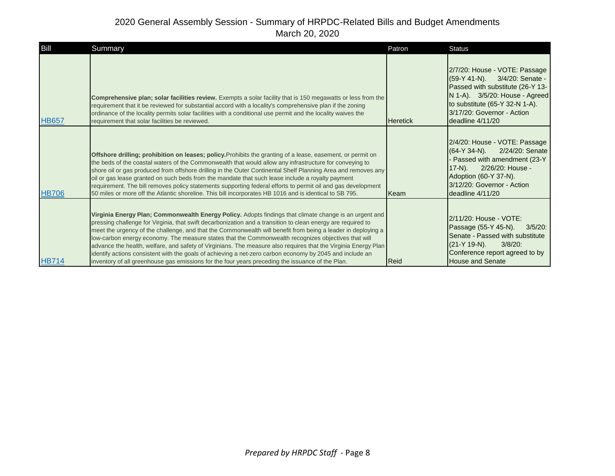| Bill         | Summary                                                                                                                                                                                                                                                                                                                                                                                                                                                                                                                                                                                                                                                                                                                                                                         | Patron          | <b>Status</b>                                                                                                                                                                                                            |
|--------------|---------------------------------------------------------------------------------------------------------------------------------------------------------------------------------------------------------------------------------------------------------------------------------------------------------------------------------------------------------------------------------------------------------------------------------------------------------------------------------------------------------------------------------------------------------------------------------------------------------------------------------------------------------------------------------------------------------------------------------------------------------------------------------|-----------------|--------------------------------------------------------------------------------------------------------------------------------------------------------------------------------------------------------------------------|
| <b>HB657</b> | Comprehensive plan; solar facilities review. Exempts a solar facility that is 150 megawatts or less from the<br>requirement that it be reviewed for substantial accord with a locality's comprehensive plan if the zoning<br>ordinance of the locality permits solar facilities with a conditional use permit and the locality waives the<br>requirement that solar facilities be reviewed.                                                                                                                                                                                                                                                                                                                                                                                     | <b>Heretick</b> | 2/7/20: House - VOTE: Passage<br>(59-Y 41-N). 3/4/20: Senate -<br>Passed with substitute (26-Y 13-<br>N 1-A). 3/5/20: House - Agreed<br>to substitute (65-Y 32-N 1-A).<br>3/17/20: Governor - Action<br>deadline 4/11/20 |
| <b>HB706</b> | Offshore drilling; prohibition on leases; policy. Prohibits the granting of a lease, easement, or permit on<br>the beds of the coastal waters of the Commonwealth that would allow any infrastructure for conveying to<br>shore oil or gas produced from offshore drilling in the Outer Continental Shelf Planning Area and removes any<br>oil or gas lease granted on such beds from the mandate that such lease include a royalty payment<br>requirement. The bill removes policy statements supporting federal efforts to permit oil and gas development<br>50 miles or more off the Atlantic shoreline. This bill incorporates HB 1016 and is identical to SB 795.                                                                                                          | Keam            | 2/4/20: House - VOTE: Passage<br>(64-Y 34-N).<br>2/24/20: Senate<br>Passed with amendment (23-Y<br>$17-N$ ).<br>2/26/20: House -<br>Adoption (60-Y 37-N).<br>3/12/20: Governor - Action<br>deadline 4/11/20              |
| <b>HB714</b> | Virginia Energy Plan; Commonwealth Energy Policy. Adopts findings that climate change is an urgent and<br>pressing challenge for Virginia, that swift decarbonization and a transition to clean energy are required to<br>meet the urgency of the challenge, and that the Commonwealth will benefit from being a leader in deploying a<br>low-carbon energy economy. The measure states that the Commonwealth recognizes objectives that will<br>advance the health, welfare, and safety of Virginians. The measure also requires that the Virginia Energy Plan<br>identify actions consistent with the goals of achieving a net-zero carbon economy by 2045 and include an<br>inventory of all greenhouse gas emissions for the four years preceding the issuance of the Plan. | Reid            | 2/11/20: House - VOTE:<br>Passage (55-Y 45-N).<br>$3/5/20$ :<br>Senate - Passed with substitute<br>(21-Y 19-N).<br>$3/8/20$ :<br>Conference report agreed to by<br><b>House and Senate</b>                               |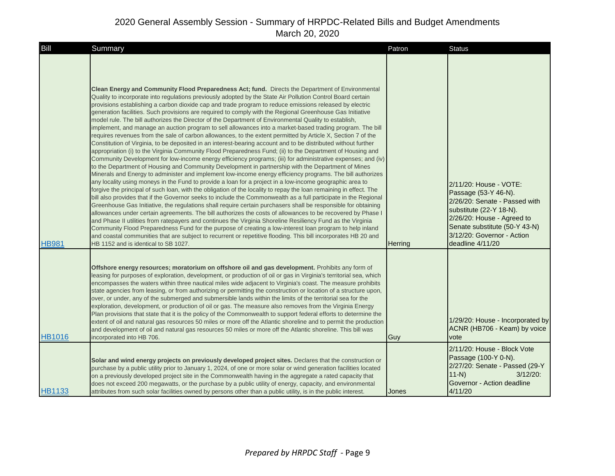| <b>Bill</b>   | Summary                                                                                                                                                                                                                                                                                                                                                                                                                                                                                                                                                                                                                                                                                                                                                                                                                                                                                                                                                                                                                                                                                                                                                                                                                                                                                                                                                                                                                                                                                                                                                                                                                                                                                                                                                                                                                                                                                                                                                                                                                                                                                                                                                                                                                                                                                                                             | Patron  | <b>Status</b>                                                                                                                                                                                                               |
|---------------|-------------------------------------------------------------------------------------------------------------------------------------------------------------------------------------------------------------------------------------------------------------------------------------------------------------------------------------------------------------------------------------------------------------------------------------------------------------------------------------------------------------------------------------------------------------------------------------------------------------------------------------------------------------------------------------------------------------------------------------------------------------------------------------------------------------------------------------------------------------------------------------------------------------------------------------------------------------------------------------------------------------------------------------------------------------------------------------------------------------------------------------------------------------------------------------------------------------------------------------------------------------------------------------------------------------------------------------------------------------------------------------------------------------------------------------------------------------------------------------------------------------------------------------------------------------------------------------------------------------------------------------------------------------------------------------------------------------------------------------------------------------------------------------------------------------------------------------------------------------------------------------------------------------------------------------------------------------------------------------------------------------------------------------------------------------------------------------------------------------------------------------------------------------------------------------------------------------------------------------------------------------------------------------------------------------------------------------|---------|-----------------------------------------------------------------------------------------------------------------------------------------------------------------------------------------------------------------------------|
| <b>HB981</b>  | <b>Clean Energy and Community Flood Preparedness Act; fund.</b> Directs the Department of Environmental<br>Quality to incorporate into regulations previously adopted by the State Air Pollution Control Board certain<br>provisions establishing a carbon dioxide cap and trade program to reduce emissions released by electric<br>generation facilities. Such provisions are required to comply with the Regional Greenhouse Gas Initiative<br>model rule. The bill authorizes the Director of the Department of Environmental Quality to establish,<br>implement, and manage an auction program to sell allowances into a market-based trading program. The bill<br>requires revenues from the sale of carbon allowances, to the extent permitted by Article X, Section 7 of the<br>Constitution of Virginia, to be deposited in an interest-bearing account and to be distributed without further<br>appropriation (i) to the Virginia Community Flood Preparedness Fund; (ii) to the Department of Housing and<br>Community Development for low-income energy efficiency programs; (iii) for administrative expenses; and (iv)<br>to the Department of Housing and Community Development in partnership with the Department of Mines<br>Minerals and Energy to administer and implement low-income energy efficiency programs. The bill authorizes<br>any locality using moneys in the Fund to provide a loan for a project in a low-income geographic area to<br>forgive the principal of such loan, with the obligation of the locality to repay the loan remaining in effect. The<br>bill also provides that if the Governor seeks to include the Commonwealth as a full participate in the Regional<br>Greenhouse Gas Initiative, the regulations shall require certain purchasers shall be responsible for obtaining<br>allowances under certain agreements. The bill authorizes the costs of allowances to be recovered by Phase I<br>and Phase II utilities from ratepayers and continues the Virginia Shoreline Resiliency Fund as the Virginia<br>Community Flood Preparedness Fund for the purpose of creating a low-interest loan program to help inland<br>and coastal communities that are subject to recurrent or repetitive flooding. This bill incorporates HB 20 and<br>HB 1152 and is identical to SB 1027. | Herring | 2/11/20: House - VOTE:<br>Passage (53-Y 46-N).<br>2/26/20: Senate - Passed with<br>substitute (22-Y 18-N).<br>2/26/20: House - Agreed to<br>Senate substitute (50-Y 43-N)<br>3/12/20: Governor - Action<br>deadline 4/11/20 |
| <b>HB1016</b> | Offshore energy resources; moratorium on offshore oil and gas development. Prohibits any form of<br>leasing for purposes of exploration, development, or production of oil or gas in Virginia's territorial sea, which<br>encompasses the waters within three nautical miles wide adjacent to Virginia's coast. The measure prohibits<br>state agencies from leasing, or from authorizing or permitting the construction or location of a structure upon,<br>over, or under, any of the submerged and submersible lands within the limits of the territorial sea for the<br>exploration, development, or production of oil or gas. The measure also removes from the Virginia Energy<br>Plan provisions that state that it is the policy of the Commonwealth to support federal efforts to determine the<br>extent of oil and natural gas resources 50 miles or more off the Atlantic shoreline and to permit the production<br>and development of oil and natural gas resources 50 miles or more off the Atlantic shoreline. This bill was<br>incorporated into HB 706.<br>Solar and wind energy projects on previously developed project sites. Declares that the construction or<br>purchase by a public utility prior to January 1, 2024, of one or more solar or wind generation facilities located                                                                                                                                                                                                                                                                                                                                                                                                                                                                                                                                                                                                                                                                                                                                                                                                                                                                                                                                                                                                                            | Guy     | 1/29/20: House - Incorporated by<br>ACNR (HB706 - Keam) by voice<br>vote<br>2/11/20: House - Block Vote<br>Passage (100-Y 0-N).<br>2/27/20: Senate - Passed (29-Y<br>$11-N$<br>$3/12/20$ :                                  |
| <b>HB1133</b> | on a previously developed project site in the Commonwealth having in the aggregate a rated capacity that<br>does not exceed 200 megawatts, or the purchase by a public utility of energy, capacity, and environmental<br>attributes from such solar facilities owned by persons other than a public utility, is in the public interest.                                                                                                                                                                                                                                                                                                                                                                                                                                                                                                                                                                                                                                                                                                                                                                                                                                                                                                                                                                                                                                                                                                                                                                                                                                                                                                                                                                                                                                                                                                                                                                                                                                                                                                                                                                                                                                                                                                                                                                                             | Jones   | Governor - Action deadline<br>4/11/20                                                                                                                                                                                       |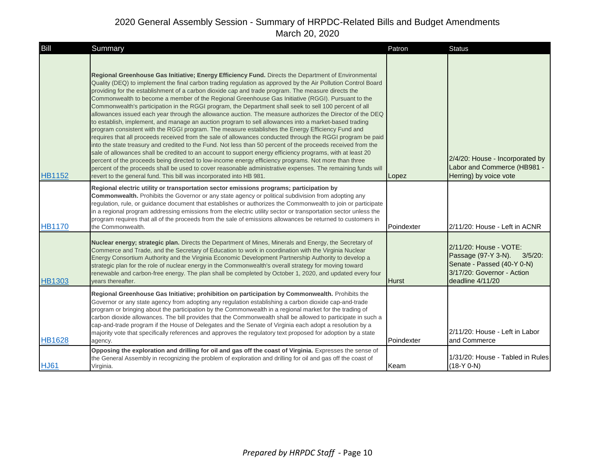| Bill          | Summary                                                                                                                                                                                                                                                                                                                                                                                                                                                                                                                                                                                                                                                                                                                                                                                                                                                                                                                                                                                                                                                                                                                                                                                                                                                                                                                                                                                                                                                                                                       | Patron     | <b>Status</b>                                                                                                                               |
|---------------|---------------------------------------------------------------------------------------------------------------------------------------------------------------------------------------------------------------------------------------------------------------------------------------------------------------------------------------------------------------------------------------------------------------------------------------------------------------------------------------------------------------------------------------------------------------------------------------------------------------------------------------------------------------------------------------------------------------------------------------------------------------------------------------------------------------------------------------------------------------------------------------------------------------------------------------------------------------------------------------------------------------------------------------------------------------------------------------------------------------------------------------------------------------------------------------------------------------------------------------------------------------------------------------------------------------------------------------------------------------------------------------------------------------------------------------------------------------------------------------------------------------|------------|---------------------------------------------------------------------------------------------------------------------------------------------|
| <b>HB1152</b> | Regional Greenhouse Gas Initiative; Energy Efficiency Fund. Directs the Department of Environmental<br>Quality (DEQ) to implement the final carbon trading regulation as approved by the Air Pollution Control Board<br>providing for the establishment of a carbon dioxide cap and trade program. The measure directs the<br>Commonwealth to become a member of the Regional Greenhouse Gas Initiative (RGGI). Pursuant to the<br>Commonwealth's participation in the RGGI program, the Department shall seek to sell 100 percent of all<br>allowances issued each year through the allowance auction. The measure authorizes the Director of the DEQ<br>to establish, implement, and manage an auction program to sell allowances into a market-based trading<br>program consistent with the RGGI program. The measure establishes the Energy Efficiency Fund and<br>requires that all proceeds received from the sale of allowances conducted through the RGGI program be paid<br>into the state treasury and credited to the Fund. Not less than 50 percent of the proceeds received from the<br>sale of allowances shall be credited to an account to support energy efficiency programs, with at least 20<br>percent of the proceeds being directed to low-income energy efficiency programs. Not more than three<br>percent of the proceeds shall be used to cover reasonable administrative expenses. The remaining funds will<br>revert to the general fund. This bill was incorporated into HB 981. | Lopez      | 2/4/20: House - Incorporated by<br>Labor and Commerce (HB981 -<br>Herring) by voice vote                                                    |
| <b>HB1170</b> | Regional electric utility or transportation sector emissions programs; participation by<br>Commonwealth. Prohibits the Governor or any state agency or political subdivision from adopting any<br>regulation, rule, or guidance document that establishes or authorizes the Commonwealth to join or participate<br>in a regional program addressing emissions from the electric utility sector or transportation sector unless the<br>program requires that all of the proceeds from the sale of emissions allowances be returned to customers in<br>the Commonwealth.                                                                                                                                                                                                                                                                                                                                                                                                                                                                                                                                                                                                                                                                                                                                                                                                                                                                                                                                        | Poindexter | 2/11/20: House - Left in ACNR                                                                                                               |
| <b>HB1303</b> | Nuclear energy; strategic plan. Directs the Department of Mines, Minerals and Energy, the Secretary of<br>Commerce and Trade, and the Secretary of Education to work in coordination with the Virginia Nuclear<br>Energy Consortium Authority and the Virginia Economic Development Partnership Authority to develop a<br>strategic plan for the role of nuclear energy in the Commonwealth's overall strategy for moving toward<br>renewable and carbon-free energy. The plan shall be completed by October 1, 2020, and updated every four<br>vears thereafter.                                                                                                                                                                                                                                                                                                                                                                                                                                                                                                                                                                                                                                                                                                                                                                                                                                                                                                                                             | Hurst      | 2/11/20: House - VOTE:<br>Passage (97-Y 3-N).<br>$3/5/20$ :<br>Senate - Passed (40-Y 0-N)<br>3/17/20: Governor - Action<br>deadline 4/11/20 |
| <b>HB1628</b> | Regional Greenhouse Gas Initiative; prohibition on participation by Commonwealth. Prohibits the<br>Governor or any state agency from adopting any regulation establishing a carbon dioxide cap-and-trade<br>program or bringing about the participation by the Commonwealth in a regional market for the trading of<br>carbon dioxide allowances. The bill provides that the Commonwealth shall be allowed to participate in such a<br>cap-and-trade program if the House of Delegates and the Senate of Virginia each adopt a resolution by a<br>majority vote that specifically references and approves the regulatory text proposed for adoption by a state<br>agency.                                                                                                                                                                                                                                                                                                                                                                                                                                                                                                                                                                                                                                                                                                                                                                                                                                     | Poindexter | 2/11/20: House - Left in Labor<br>and Commerce                                                                                              |
| <b>HJ61</b>   | Opposing the exploration and drilling for oil and gas off the coast of Virginia. Expresses the sense of<br>the General Assembly in recognizing the problem of exploration and drilling for oil and gas off the coast of<br>Virginia.                                                                                                                                                                                                                                                                                                                                                                                                                                                                                                                                                                                                                                                                                                                                                                                                                                                                                                                                                                                                                                                                                                                                                                                                                                                                          | Keam       | 1/31/20: House - Tabled in Rules<br>$(18-Y 0-N)$                                                                                            |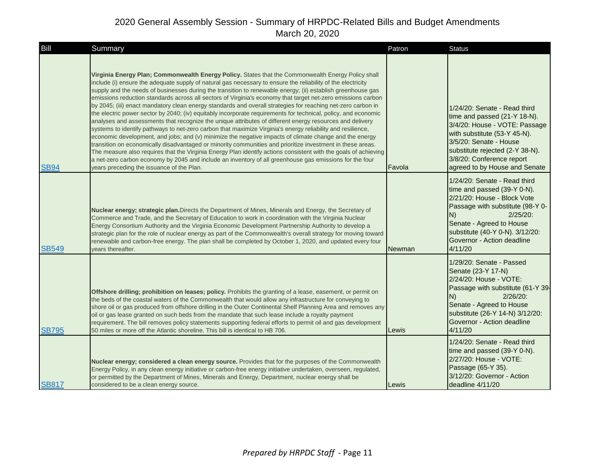| Bill         | Summary                                                                                                                                                                                                                                                                                                                                                                                                                                                                                                                                                                                                                                                                                                                                                                                                                                                                                                                                                                                                                                                                                                                                                                                                                                                                                                                                                                                                           | Patron | <b>Status</b>                                                                                                                                                                                                                                               |
|--------------|-------------------------------------------------------------------------------------------------------------------------------------------------------------------------------------------------------------------------------------------------------------------------------------------------------------------------------------------------------------------------------------------------------------------------------------------------------------------------------------------------------------------------------------------------------------------------------------------------------------------------------------------------------------------------------------------------------------------------------------------------------------------------------------------------------------------------------------------------------------------------------------------------------------------------------------------------------------------------------------------------------------------------------------------------------------------------------------------------------------------------------------------------------------------------------------------------------------------------------------------------------------------------------------------------------------------------------------------------------------------------------------------------------------------|--------|-------------------------------------------------------------------------------------------------------------------------------------------------------------------------------------------------------------------------------------------------------------|
| <b>SB94</b>  | Virginia Energy Plan; Commonwealth Energy Policy. States that the Commonwealth Energy Policy shall<br>include (i) ensure the adequate supply of natural gas necessary to ensure the reliability of the electricity<br>supply and the needs of businesses during the transition to renewable energy; (ii) establish greenhouse gas<br>emissions reduction standards across all sectors of Virginia's economy that target net-zero emissions carbon<br>by 2045; (iii) enact mandatory clean energy standards and overall strategies for reaching net-zero carbon in<br>the electric power sector by 2040; (iv) equitably incorporate requirements for technical, policy, and economic<br>analyses and assessments that recognize the unique attributes of different energy resources and delivery<br>systems to identify pathways to net-zero carbon that maximize Virginia's energy reliability and resilience,<br>economic development, and jobs; and (v) minimize the negative impacts of climate change and the energy<br>transition on economically disadvantaged or minority communities and prioritize investment in these areas.<br>The measure also requires that the Virginia Energy Plan identify actions consistent with the goals of achieving<br>a net-zero carbon economy by 2045 and include an inventory of all greenhouse gas emissions for the four<br>years preceding the issuance of the Plan. | Favola | 1/24/20: Senate - Read third<br>time and passed (21-Y 18-N).<br>3/4/20: House - VOTE: Passage<br>with substitute (53-Y 45-N).<br>3/5/20: Senate - House<br>substitute rejected (2-Y 38-N).<br>3/8/20: Conference report<br>agreed to by House and Senate    |
| SB549        | Nuclear energy; strategic plan. Directs the Department of Mines, Minerals and Energy, the Secretary of<br>Commerce and Trade, and the Secretary of Education to work in coordination with the Virginia Nuclear<br>Energy Consortium Authority and the Virginia Economic Development Partnership Authority to develop a<br>strategic plan for the role of nuclear energy as part of the Commonwealth's overall strategy for moving toward<br>renewable and carbon-free energy. The plan shall be completed by October 1, 2020, and updated every four<br>vears thereafter.                                                                                                                                                                                                                                                                                                                                                                                                                                                                                                                                                                                                                                                                                                                                                                                                                                         | Newman | 1/24/20: Senate - Read third<br>time and passed (39-Y 0-N).<br>2/21/20: House - Block Vote<br>Passage with substitute (98-Y 0-<br>$2/25/20$ :<br>N)<br>Senate - Agreed to House<br>substitute (40-Y 0-N). 3/12/20:<br>Governor - Action deadline<br>4/11/20 |
| <b>SB795</b> | Offshore drilling; prohibition on leases; policy. Prohibits the granting of a lease, easement, or permit on<br>the beds of the coastal waters of the Commonwealth that would allow any infrastructure for conveying to<br>shore oil or gas produced from offshore drilling in the Outer Continental Shelf Planning Area and removes any<br>oil or gas lease granted on such beds from the mandate that such lease include a royalty payment<br>requirement. The bill removes policy statements supporting federal efforts to permit oil and gas development<br>50 miles or more off the Atlantic shoreline. This bill is identical to HB 706.                                                                                                                                                                                                                                                                                                                                                                                                                                                                                                                                                                                                                                                                                                                                                                     | Lewis  | 1/29/20: Senate - Passed<br>Senate (23-Y 17-N)<br>2/24/20: House - VOTE:<br>Passage with substitute (61-Y 39-<br>$2/26/20$ :<br>N)<br>Senate - Agreed to House<br>substitute (26-Y 14-N) 3/12/20:<br>Governor - Action deadline<br>4/11/20                  |
| <b>SB817</b> | Nuclear energy; considered a clean energy source. Provides that for the purposes of the Commonwealth<br>Energy Policy, in any clean energy initiative or carbon-free energy initiative undertaken, overseen, regulated,<br>or permitted by the Department of Mines, Minerals and Energy, Department, nuclear energy shall be<br>considered to be a clean energy source.                                                                                                                                                                                                                                                                                                                                                                                                                                                                                                                                                                                                                                                                                                                                                                                                                                                                                                                                                                                                                                           | Lewis  | 1/24/20: Senate - Read third<br>time and passed (39-Y 0-N).<br>2/27/20: House - VOTE:<br>Passage (65-Y 35).<br>3/12/20: Governor - Action<br>deadline 4/11/20                                                                                               |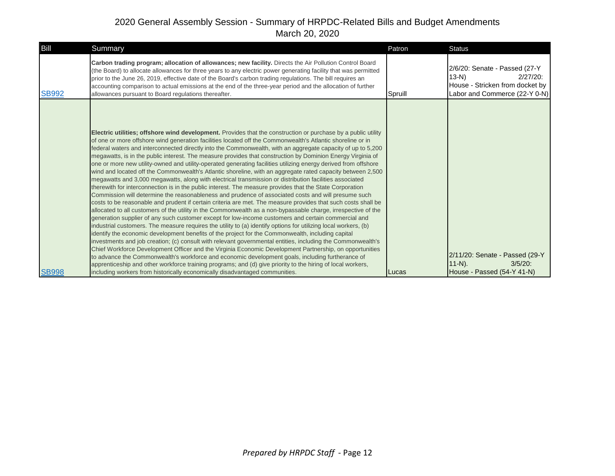| Bill         | Summary                                                                                                                                                                                                                                                                                                                                                                                                                                                                                                                                                                                                                                                                                                                                                                                                                                                                                                                                                                                                                                                                                                                                                                                                                                                                                                                                                                                                                                                                                                                                                                                                                                                                                                                                                                                                                                                                                                                                                                                                                                                                                                               | Patron  | Status                                                                                                                     |
|--------------|-----------------------------------------------------------------------------------------------------------------------------------------------------------------------------------------------------------------------------------------------------------------------------------------------------------------------------------------------------------------------------------------------------------------------------------------------------------------------------------------------------------------------------------------------------------------------------------------------------------------------------------------------------------------------------------------------------------------------------------------------------------------------------------------------------------------------------------------------------------------------------------------------------------------------------------------------------------------------------------------------------------------------------------------------------------------------------------------------------------------------------------------------------------------------------------------------------------------------------------------------------------------------------------------------------------------------------------------------------------------------------------------------------------------------------------------------------------------------------------------------------------------------------------------------------------------------------------------------------------------------------------------------------------------------------------------------------------------------------------------------------------------------------------------------------------------------------------------------------------------------------------------------------------------------------------------------------------------------------------------------------------------------------------------------------------------------------------------------------------------------|---------|----------------------------------------------------------------------------------------------------------------------------|
| <b>SB992</b> | Carbon trading program; allocation of allowances; new facility. Directs the Air Pollution Control Board<br>(the Board) to allocate allowances for three years to any electric power generating facility that was permitted<br>prior to the June 26, 2019, effective date of the Board's carbon trading regulations. The bill reguires an<br>accounting comparison to actual emissions at the end of the three-year period and the allocation of further<br>allowances pursuant to Board regulations thereafter.                                                                                                                                                                                                                                                                                                                                                                                                                                                                                                                                                                                                                                                                                                                                                                                                                                                                                                                                                                                                                                                                                                                                                                                                                                                                                                                                                                                                                                                                                                                                                                                                       | Spruill | 2/6/20: Senate - Passed (27-Y<br>$13-N$<br>$2/27/20$ :<br>House - Stricken from docket by<br>Labor and Commerce (22-Y 0-N) |
| <b>SB998</b> | Electric utilities; offshore wind development. Provides that the construction or purchase by a public utility<br>of one or more offshore wind generation facilities located off the Commonwealth's Atlantic shoreline or in<br>federal waters and interconnected directly into the Commonwealth, with an aggregate capacity of up to 5,200<br>megawatts, is in the public interest. The measure provides that construction by Dominion Energy Virginia of<br>one or more new utility-owned and utility-operated generating facilities utilizing energy derived from offshore<br>wind and located off the Commonwealth's Atlantic shoreline, with an aggregate rated capacity between 2,500<br>megawatts and 3,000 megawatts, along with electrical transmission or distribution facilities associated<br>therewith for interconnection is in the public interest. The measure provides that the State Corporation<br>Commission will determine the reasonableness and prudence of associated costs and will presume such<br>costs to be reasonable and prudent if certain criteria are met. The measure provides that such costs shall be<br>allocated to all customers of the utility in the Commonwealth as a non-bypassable charge, irrespective of the<br>generation supplier of any such customer except for low-income customers and certain commercial and<br>industrial customers. The measure requires the utility to (a) identify options for utilizing local workers, (b)<br>identify the economic development benefits of the project for the Commonwealth, including capital<br>investments and job creation; (c) consult with relevant governmental entities, including the Commonwealth's<br>Chief Workforce Development Officer and the Virginia Economic Development Partnership, on opportunities<br>to advance the Commonwealth's workforce and economic development goals, including furtherance of<br>apprenticeship and other workforce training programs; and (d) give priority to the hiring of local workers,<br>including workers from historically economically disadvantaged communities. | Lucas   | 2/11/20: Senate - Passed (29-Y<br>$11-N$ ).<br>$3/5/20$ :<br>House - Passed (54-Y 41-N)                                    |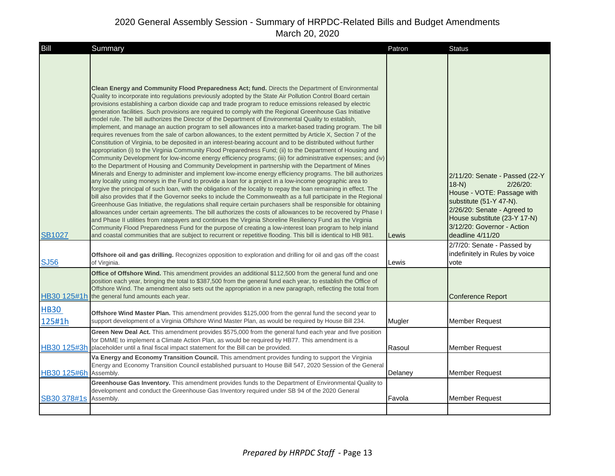| Bill                  | Summary                                                                                                                                                                                                                                                                                                                                                                                                                                                                                                                                                                                                                                                                                                                                                                                                                                                                                                                                                                                                                                                                                                                                                                                                                                                                                                                                                                                                                                                                                                                                                                                                                                                                                                                                                                                                                                                                                                                                                                                                                                                                                                                                                                                                                                                                               | Patron  | <b>Status</b>                                                                                                                                                                                                                     |
|-----------------------|---------------------------------------------------------------------------------------------------------------------------------------------------------------------------------------------------------------------------------------------------------------------------------------------------------------------------------------------------------------------------------------------------------------------------------------------------------------------------------------------------------------------------------------------------------------------------------------------------------------------------------------------------------------------------------------------------------------------------------------------------------------------------------------------------------------------------------------------------------------------------------------------------------------------------------------------------------------------------------------------------------------------------------------------------------------------------------------------------------------------------------------------------------------------------------------------------------------------------------------------------------------------------------------------------------------------------------------------------------------------------------------------------------------------------------------------------------------------------------------------------------------------------------------------------------------------------------------------------------------------------------------------------------------------------------------------------------------------------------------------------------------------------------------------------------------------------------------------------------------------------------------------------------------------------------------------------------------------------------------------------------------------------------------------------------------------------------------------------------------------------------------------------------------------------------------------------------------------------------------------------------------------------------------|---------|-----------------------------------------------------------------------------------------------------------------------------------------------------------------------------------------------------------------------------------|
| <b>SB1027</b>         | Clean Energy and Community Flood Preparedness Act; fund. Directs the Department of Environmental<br>Quality to incorporate into regulations previously adopted by the State Air Pollution Control Board certain<br>provisions establishing a carbon dioxide cap and trade program to reduce emissions released by electric<br>generation facilities. Such provisions are required to comply with the Regional Greenhouse Gas Initiative<br>model rule. The bill authorizes the Director of the Department of Environmental Quality to establish,<br>implement, and manage an auction program to sell allowances into a market-based trading program. The bill<br>requires revenues from the sale of carbon allowances, to the extent permitted by Article X, Section 7 of the<br>Constitution of Virginia, to be deposited in an interest-bearing account and to be distributed without further<br>appropriation (i) to the Virginia Community Flood Preparedness Fund; (ii) to the Department of Housing and<br>Community Development for low-income energy efficiency programs; (iii) for administrative expenses; and (iv)<br>to the Department of Housing and Community Development in partnership with the Department of Mines<br>Minerals and Energy to administer and implement low-income energy efficiency programs. The bill authorizes<br>any locality using moneys in the Fund to provide a loan for a project in a low-income geographic area to<br>forgive the principal of such loan, with the obligation of the locality to repay the loan remaining in effect. The<br>bill also provides that if the Governor seeks to include the Commonwealth as a full participate in the Regional<br>Greenhouse Gas Initiative, the regulations shall require certain purchasers shall be responsible for obtaining<br>allowances under certain agreements. The bill authorizes the costs of allowances to be recovered by Phase I<br>and Phase II utilities from ratepayers and continues the Virginia Shoreline Resiliency Fund as the Virginia<br>Community Flood Preparedness Fund for the purpose of creating a low-interest loan program to help inland<br>and coastal communities that are subject to recurrent or repetitive flooding. This bill is identical to HB 981. | Lewis   | 2/11/20: Senate - Passed (22-Y<br>$18-N$<br>$2/26/20$ :<br>House - VOTE: Passage with<br>substitute (51-Y 47-N).<br>2/26/20: Senate - Agreed to<br>House substitute (23-Y 17-N)<br>3/12/20: Governor - Action<br>deadline 4/11/20 |
| <b>SJ56</b>           | Offshore oil and gas drilling. Recognizes opposition to exploration and drilling for oil and gas off the coast<br>of Virginia.                                                                                                                                                                                                                                                                                                                                                                                                                                                                                                                                                                                                                                                                                                                                                                                                                                                                                                                                                                                                                                                                                                                                                                                                                                                                                                                                                                                                                                                                                                                                                                                                                                                                                                                                                                                                                                                                                                                                                                                                                                                                                                                                                        | Lewis   | 2/7/20: Senate - Passed by<br>indefinitely in Rules by voice<br>vote                                                                                                                                                              |
| HB30 125#1h           | <b>Office of Offshore Wind.</b> This amendment provides an additional \$112,500 from the general fund and one<br>position each year, bringing the total to \$387,500 from the general fund each year, to establish the Office of<br>Offshore Wind. The amendment also sets out the appropriation in a new paragraph, reflecting the total from<br>the general fund amounts each year.                                                                                                                                                                                                                                                                                                                                                                                                                                                                                                                                                                                                                                                                                                                                                                                                                                                                                                                                                                                                                                                                                                                                                                                                                                                                                                                                                                                                                                                                                                                                                                                                                                                                                                                                                                                                                                                                                                 |         | <b>Conference Report</b>                                                                                                                                                                                                          |
| <b>HB30</b><br>125#1h | Offshore Wind Master Plan. This amendment provides \$125,000 from the genral fund the second year to<br>support development of a Virginia Offshore Wind Master Plan, as would be required by House Bill 234.                                                                                                                                                                                                                                                                                                                                                                                                                                                                                                                                                                                                                                                                                                                                                                                                                                                                                                                                                                                                                                                                                                                                                                                                                                                                                                                                                                                                                                                                                                                                                                                                                                                                                                                                                                                                                                                                                                                                                                                                                                                                          | Mugler  | <b>Member Request</b>                                                                                                                                                                                                             |
| HB30 125#3h           | Green New Deal Act. This amendment provides \$575,000 from the general fund each year and five position<br>for DMME to implement a Climate Action Plan, as would be required by HB77. This amendment is a<br>placeholder until a final fiscal impact statement for the Bill can be provided.                                                                                                                                                                                                                                                                                                                                                                                                                                                                                                                                                                                                                                                                                                                                                                                                                                                                                                                                                                                                                                                                                                                                                                                                                                                                                                                                                                                                                                                                                                                                                                                                                                                                                                                                                                                                                                                                                                                                                                                          | Rasoul  | <b>Member Request</b>                                                                                                                                                                                                             |
| HB30 125#6h           | Va Energy and Economy Transition Council. This amendment provides funding to support the Virginia<br>Energy and Economy Transition Council established pursuant to House Bill 547, 2020 Session of the General<br>Assembly.                                                                                                                                                                                                                                                                                                                                                                                                                                                                                                                                                                                                                                                                                                                                                                                                                                                                                                                                                                                                                                                                                                                                                                                                                                                                                                                                                                                                                                                                                                                                                                                                                                                                                                                                                                                                                                                                                                                                                                                                                                                           | Delaney | <b>Member Request</b>                                                                                                                                                                                                             |
| SB30 378#1s           | Greenhouse Gas Inventory. This amendment provides funds to the Department of Environmental Quality to<br>development and conduct the Greenhouse Gas Inventory required under SB 94 of the 2020 General<br>Assembly.                                                                                                                                                                                                                                                                                                                                                                                                                                                                                                                                                                                                                                                                                                                                                                                                                                                                                                                                                                                                                                                                                                                                                                                                                                                                                                                                                                                                                                                                                                                                                                                                                                                                                                                                                                                                                                                                                                                                                                                                                                                                   | Favola  | <b>Member Request</b>                                                                                                                                                                                                             |
|                       |                                                                                                                                                                                                                                                                                                                                                                                                                                                                                                                                                                                                                                                                                                                                                                                                                                                                                                                                                                                                                                                                                                                                                                                                                                                                                                                                                                                                                                                                                                                                                                                                                                                                                                                                                                                                                                                                                                                                                                                                                                                                                                                                                                                                                                                                                       |         |                                                                                                                                                                                                                                   |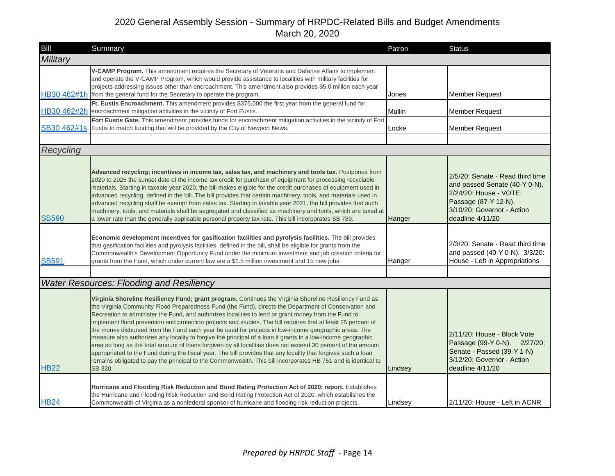| Bill         | Summary                                                                                                                                                                                                                                                                                                                                                                                                                                                                                                                                                                                                                                                                                                                                                                                                                                                                                                                                                                                                                                                                            | Patron  | <b>Status</b>                                                                                                                                                         |
|--------------|------------------------------------------------------------------------------------------------------------------------------------------------------------------------------------------------------------------------------------------------------------------------------------------------------------------------------------------------------------------------------------------------------------------------------------------------------------------------------------------------------------------------------------------------------------------------------------------------------------------------------------------------------------------------------------------------------------------------------------------------------------------------------------------------------------------------------------------------------------------------------------------------------------------------------------------------------------------------------------------------------------------------------------------------------------------------------------|---------|-----------------------------------------------------------------------------------------------------------------------------------------------------------------------|
| Military     |                                                                                                                                                                                                                                                                                                                                                                                                                                                                                                                                                                                                                                                                                                                                                                                                                                                                                                                                                                                                                                                                                    |         |                                                                                                                                                                       |
|              | V-CAMP Program. This amendment requires the Secretary of Veterans and Defense Affairs to implement<br>and operate the V-CAMP Program, which would provide assistance to localities with military facilities for<br>projects addressing issues other than encroachment. This amendment also provides \$5.0 million each year<br>HB30 462#1h from the general fund for the Secretary to operate the program.                                                                                                                                                                                                                                                                                                                                                                                                                                                                                                                                                                                                                                                                         | Jones   | <b>Member Request</b>                                                                                                                                                 |
|              | Ft. Eustis Encroachment. This amendment provides \$375,000 the first year from the general fund for<br>HB30 462#2h encroachment mitigation activities in the vicinity of Fort Eustis.                                                                                                                                                                                                                                                                                                                                                                                                                                                                                                                                                                                                                                                                                                                                                                                                                                                                                              | Mullin  | <b>Member Request</b>                                                                                                                                                 |
|              | Fort Eustis Gate. This amendment provides funds for encroachment mitigation activities in the vicinity of Fort<br>SB30 462#1s Eustis to match funding that will be provided by the City of Newport News.                                                                                                                                                                                                                                                                                                                                                                                                                                                                                                                                                                                                                                                                                                                                                                                                                                                                           | Locke   | <b>Member Request</b>                                                                                                                                                 |
|              |                                                                                                                                                                                                                                                                                                                                                                                                                                                                                                                                                                                                                                                                                                                                                                                                                                                                                                                                                                                                                                                                                    |         |                                                                                                                                                                       |
| Recycling    |                                                                                                                                                                                                                                                                                                                                                                                                                                                                                                                                                                                                                                                                                                                                                                                                                                                                                                                                                                                                                                                                                    |         |                                                                                                                                                                       |
| <b>SB590</b> | Advanced recycling; incentives in income tax, sales tax, and machinery and tools tax. Postpones from<br>2020 to 2025 the sunset date of the income tax credit for purchase of equipment for processing recyclable<br>materials. Starting in taxable year 2020, the bill makes eligible for the credit purchases of equipment used in<br>advanced recycling, defined in the bill. The bill provides that certain machinery, tools, and materials used in<br>advanced recycling shall be exempt from sales tax. Starting in taxable year 2021, the bill provides that such<br>machinery, tools, and materials shall be segregated and classified as machinery and tools, which are taxed at<br>a lower rate than the generally applicable personal property tax rate. This bill incorporates SB 789.                                                                                                                                                                                                                                                                                 | Hanger  | 2/5/20: Senate - Read third time<br>and passed Senate (40-Y 0-N).<br>2/24/20: House - VOTE:<br>Passage (87-Y 12-N).<br>3/10/20: Governor - Action<br>deadline 4/11/20 |
| <b>SB591</b> | Economic development incentives for gasification facilities and pyrolysis facilities. The bill provides<br>that gasification facilities and pyrolysis facilities, defined in the bill, shall be eligible for grants from the<br>Commonwealth's Development Opportunity Fund under the minimum investment and job creation criteria for<br>grants from the Fund, which under current law are a \$1.5 million investment and 15 new jobs.                                                                                                                                                                                                                                                                                                                                                                                                                                                                                                                                                                                                                                            | Hanger  | 2/3/20: Senate - Read third time<br>and passed (40-Y 0-N). 3/3/20:<br>House - Left in Appropriations                                                                  |
|              |                                                                                                                                                                                                                                                                                                                                                                                                                                                                                                                                                                                                                                                                                                                                                                                                                                                                                                                                                                                                                                                                                    |         |                                                                                                                                                                       |
| <b>HB22</b>  | <b>Water Resources: Flooding and Resiliency</b><br>Virginia Shoreline Resiliency Fund; grant program. Continues the Virginia Shoreline Resiliency Fund as<br>the Virginia Community Flood Preparedness Fund (the Fund), directs the Department of Conservation and<br>Recreation to administer the Fund, and authorizes localities to lend or grant money from the Fund to<br>implement flood prevention and protection projects and studies. The bill requires that at least 25 percent of<br>the money disbursed from the Fund each year be used for projects in low-income geographic areas. The<br>measure also authorizes any locality to forgive the principal of a loan it grants in a low-income geographic<br>area so long as the total amount of loans forgiven by all localities does not exceed 30 percent of the amount<br>appropriated to the Fund during the fiscal year. The bill provides that any locality that forgives such a loan<br>remains obligated to pay the principal to the Commonwealth. This bill incorporates HB 751 and is identical to<br>SB 320. | Lindsey | 2/11/20: House - Block Vote<br>Passage (99-Y 0-N). 2/27/20:<br>Senate - Passed (39-Y 1-N)<br>3/12/20: Governor - Action<br>deadline 4/11/20                           |
| <b>HB24</b>  | Hurricane and Flooding Risk Reduction and Bond Rating Protection Act of 2020; report. Establishes<br>the Hurricane and Flooding Risk Reduction and Bond Rating Protection Act of 2020, which establishes the<br>Commonwealth of Virginia as a nonfederal sponsor of hurricane and flooding risk reduction projects.                                                                                                                                                                                                                                                                                                                                                                                                                                                                                                                                                                                                                                                                                                                                                                | Lindsey | 2/11/20: House - Left in ACNR                                                                                                                                         |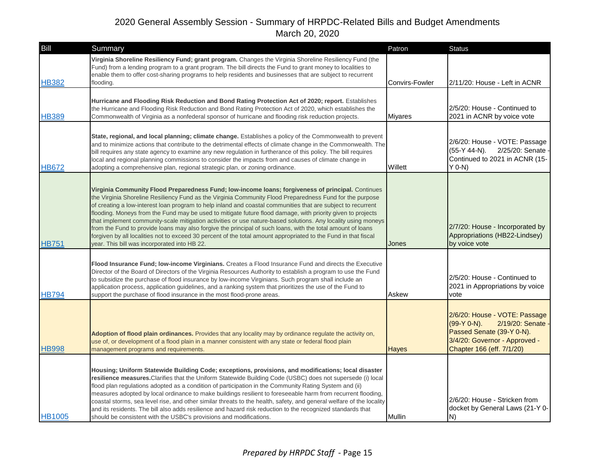| Bill          | Summary                                                                                                                                                                                                                                                                                                                                                                                                                                                                                                                                                                                                                                                                                                                                                                                                                                         | Patron         | <b>Status</b>                                                                                                                                                   |
|---------------|-------------------------------------------------------------------------------------------------------------------------------------------------------------------------------------------------------------------------------------------------------------------------------------------------------------------------------------------------------------------------------------------------------------------------------------------------------------------------------------------------------------------------------------------------------------------------------------------------------------------------------------------------------------------------------------------------------------------------------------------------------------------------------------------------------------------------------------------------|----------------|-----------------------------------------------------------------------------------------------------------------------------------------------------------------|
| <b>HB382</b>  | Virginia Shoreline Resiliency Fund; grant program. Changes the Virginia Shoreline Resiliency Fund (the<br>Fund) from a lending program to a grant program. The bill directs the Fund to grant money to localities to<br>enable them to offer cost-sharing programs to help residents and businesses that are subject to recurrent<br>flooding.                                                                                                                                                                                                                                                                                                                                                                                                                                                                                                  | Convirs-Fowler | 2/11/20: House - Left in ACNR                                                                                                                                   |
| <b>HB389</b>  | Hurricane and Flooding Risk Reduction and Bond Rating Protection Act of 2020; report. Establishes<br>the Hurricane and Flooding Risk Reduction and Bond Rating Protection Act of 2020, which establishes the<br>Commonwealth of Virginia as a nonfederal sponsor of hurricane and flooding risk reduction projects.                                                                                                                                                                                                                                                                                                                                                                                                                                                                                                                             | <b>Miyares</b> | 2/5/20: House - Continued to<br>2021 in ACNR by voice vote                                                                                                      |
| <b>HB672</b>  | State, regional, and local planning; climate change. Establishes a policy of the Commonwealth to prevent<br>and to minimize actions that contribute to the detrimental effects of climate change in the Commonwealth. The<br>bill requires any state agency to examine any new regulation in furtherance of this policy. The bill requires<br>local and regional planning commissions to consider the impacts from and causes of climate change in<br>adopting a comprehensive plan, regional strategic plan, or zoning ordinance.                                                                                                                                                                                                                                                                                                              | Willett        | 2/6/20: House - VOTE: Passage<br>$(55-Y 44-N)$ .<br>2/25/20: Senate<br>Continued to 2021 in ACNR (15-<br>$Y$ 0-N)                                               |
| <b>HB751</b>  | Virginia Community Flood Preparedness Fund; low-income loans; forgiveness of principal. Continues<br>the Virginia Shoreline Resiliency Fund as the Virginia Community Flood Preparedness Fund for the purpose<br>of creating a low-interest loan program to help inland and coastal communities that are subject to recurrent<br>flooding. Moneys from the Fund may be used to mitigate future flood damage, with priority given to projects<br>that implement community-scale mitigation activities or use nature-based solutions. Any locality using moneys<br>from the Fund to provide loans may also forgive the principal of such loans, with the total amount of loans<br>forgiven by all localities not to exceed 30 percent of the total amount appropriated to the Fund in that fiscal<br>year. This bill was incorporated into HB 22. | Jones          | 2/7/20: House - Incorporated by<br>Appropriations (HB22-Lindsey)<br>by voice vote                                                                               |
| <b>HB794</b>  | Flood Insurance Fund; low-income Virginians. Creates a Flood Insurance Fund and directs the Executive<br>Director of the Board of Directors of the Virginia Resources Authority to establish a program to use the Fund<br>to subsidize the purchase of flood insurance by low-income Virginians. Such program shall include an<br>application process, application guidelines, and a ranking system that prioritizes the use of the Fund to<br>support the purchase of flood insurance in the most flood-prone areas.                                                                                                                                                                                                                                                                                                                           | Askew          | 2/5/20: House - Continued to<br>2021 in Appropriations by voice<br>vote                                                                                         |
| <b>HB998</b>  | Adoption of flood plain ordinances. Provides that any locality may by ordinance regulate the activity on,<br>use of, or development of a flood plain in a manner consistent with any state or federal flood plain<br>management programs and requirements.                                                                                                                                                                                                                                                                                                                                                                                                                                                                                                                                                                                      | <b>Hayes</b>   | 2/6/20: House - VOTE: Passage<br>$(99-Y 0-N)$ .<br>2/19/20: Senate -<br>Passed Senate (39-Y 0-N).<br>3/4/20: Governor - Approved -<br>Chapter 166 (eff. 7/1/20) |
| <b>HB1005</b> | Housing; Uniform Statewide Building Code; exceptions, provisions, and modifications; local disaster<br>resilience measures. Clarifies that the Uniform Statewide Building Code (USBC) does not supersede (i) local<br>flood plan regulations adopted as a condition of participation in the Community Rating System and (ii)<br>measures adopted by local ordinance to make buildings resilient to foreseeable harm from recurrent flooding,<br>coastal storms, sea level rise, and other similar threats to the health, safety, and general welfare of the locality<br>and its residents. The bill also adds resilience and hazard risk reduction to the recognized standards that<br>should be consistent with the USBC's provisions and modifications.                                                                                       | Mullin         | 2/6/20: House - Stricken from<br>docket by General Laws (21-Y 0-<br>IN)                                                                                         |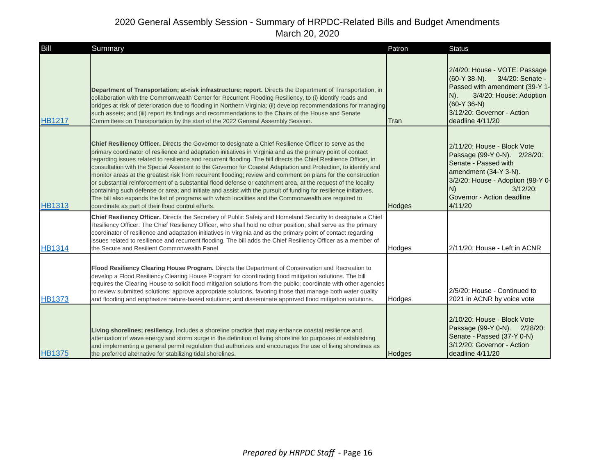| Bill          | Summary                                                                                                                                                                                                                                                                                                                                                                                                                                                                                                                                                                                                                                                                                                                                                                                                                                                                                                                                                                          | Patron | <b>Status</b>                                                                                                                                                                                                   |
|---------------|----------------------------------------------------------------------------------------------------------------------------------------------------------------------------------------------------------------------------------------------------------------------------------------------------------------------------------------------------------------------------------------------------------------------------------------------------------------------------------------------------------------------------------------------------------------------------------------------------------------------------------------------------------------------------------------------------------------------------------------------------------------------------------------------------------------------------------------------------------------------------------------------------------------------------------------------------------------------------------|--------|-----------------------------------------------------------------------------------------------------------------------------------------------------------------------------------------------------------------|
| <b>HB1217</b> | Department of Transportation; at-risk infrastructure; report. Directs the Department of Transportation, in<br>collaboration with the Commonwealth Center for Recurrent Flooding Resiliency, to (i) identify roads and<br>bridges at risk of deterioration due to flooding in Northern Virginia; (ii) develop recommendations for managing<br>such assets; and (iii) report its findings and recommendations to the Chairs of the House and Senate<br>Committees on Transportation by the start of the 2022 General Assembly Session.                                                                                                                                                                                                                                                                                                                                                                                                                                             | Tran   | 2/4/20: House - VOTE: Passage<br>(60-Y 38-N). 3/4/20: Senate -<br>Passed with amendment (39-Y 1-<br>3/4/20: House: Adoption<br>$N$ ).<br>$(60-Y 36-N)$<br>3/12/20: Governor - Action<br>deadline 4/11/20        |
| <b>HB1313</b> | Chief Resiliency Officer. Directs the Governor to designate a Chief Resilience Officer to serve as the<br>primary coordinator of resilience and adaptation initiatives in Virginia and as the primary point of contact<br>regarding issues related to resilience and recurrent flooding. The bill directs the Chief Resilience Officer, in<br>consultation with the Special Assistant to the Governor for Coastal Adaptation and Protection, to identify and<br>monitor areas at the greatest risk from recurrent flooding; review and comment on plans for the construction<br>or substantial reinforcement of a substantial flood defense or catchment area, at the request of the locality<br>containing such defense or area; and initiate and assist with the pursuit of funding for resilience initiatives.<br>The bill also expands the list of programs with which localities and the Commonwealth are required to<br>coordinate as part of their flood control efforts. | Hodges | 2/11/20: House - Block Vote<br>Passage (99-Y 0-N). 2/28/20:<br>Senate - Passed with<br>amendment (34-Y 3-N).<br>3/2/20: House - Adoption (98-Y 0-<br>N)<br>$3/12/20$ :<br>Governor - Action deadline<br>4/11/20 |
| <b>HB1314</b> | Chief Resiliency Officer. Directs the Secretary of Public Safety and Homeland Security to designate a Chief<br>Resiliency Officer. The Chief Resiliency Officer, who shall hold no other position, shall serve as the primary<br>coordinator of resilience and adaptation initiatives in Virginia and as the primary point of contact regarding<br>issues related to resilience and recurrent flooding. The bill adds the Chief Resiliency Officer as a member of<br>the Secure and Resilient Commonwealth Panel                                                                                                                                                                                                                                                                                                                                                                                                                                                                 | Hodges | 2/11/20: House - Left in ACNR                                                                                                                                                                                   |
| <b>HB1373</b> | Flood Resiliency Clearing House Program. Directs the Department of Conservation and Recreation to<br>develop a Flood Resiliency Clearing House Program for coordinating flood mitigation solutions. The bill<br>requires the Clearing House to solicit flood mitigation solutions from the public; coordinate with other agencies<br>to review submitted solutions; approve appropriate solutions, favoring those that manage both water quality<br>and flooding and emphasize nature-based solutions; and disseminate approved flood mitigation solutions.                                                                                                                                                                                                                                                                                                                                                                                                                      | Hodges | 2/5/20: House - Continued to<br>2021 in ACNR by voice vote                                                                                                                                                      |
| <b>HB1375</b> | Living shorelines; resiliency. Includes a shoreline practice that may enhance coastal resilience and<br>attenuation of wave energy and storm surge in the definition of living shoreline for purposes of establishing<br>and implementing a general permit regulation that authorizes and encourages the use of living shorelines as<br>the preferred alternative for stabilizing tidal shorelines.                                                                                                                                                                                                                                                                                                                                                                                                                                                                                                                                                                              | Hodges | 2/10/20: House - Block Vote<br>Passage (99-Y 0-N). 2/28/20:<br>Senate - Passed (37-Y 0-N)<br>3/12/20: Governor - Action<br>deadline 4/11/20                                                                     |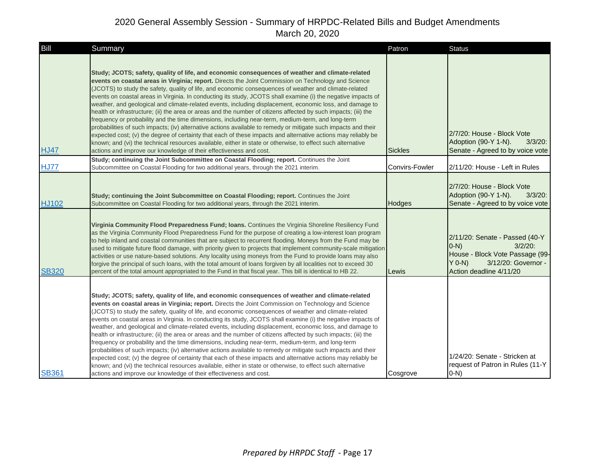| Bill         | Summary                                                                                                                                                                                                                                                                                                                                                                                                                                                                                                                                                                                                                                                                                                                                                                                                                                                                                                                                                                                                                                                                                                                                                                                       | Patron         | <b>Status</b>                                                                                                                                            |
|--------------|-----------------------------------------------------------------------------------------------------------------------------------------------------------------------------------------------------------------------------------------------------------------------------------------------------------------------------------------------------------------------------------------------------------------------------------------------------------------------------------------------------------------------------------------------------------------------------------------------------------------------------------------------------------------------------------------------------------------------------------------------------------------------------------------------------------------------------------------------------------------------------------------------------------------------------------------------------------------------------------------------------------------------------------------------------------------------------------------------------------------------------------------------------------------------------------------------|----------------|----------------------------------------------------------------------------------------------------------------------------------------------------------|
| <b>HJ47</b>  | Study; JCOTS; safety, quality of life, and economic consequences of weather and climate-related<br>events on coastal areas in Virginia; report. Directs the Joint Commission on Technology and Science<br>(JCOTS) to study the safety, quality of life, and economic consequences of weather and climate-related<br>events on coastal areas in Virginia. In conducting its study, JCOTS shall examine (i) the negative impacts of<br>weather, and geological and climate-related events, including displacement, economic loss, and damage to<br>health or infrastructure; (ii) the area or areas and the number of citizens affected by such impacts; (iii) the<br>frequency or probability and the time dimensions, including near-term, medium-term, and long-term<br>probabilities of such impacts; (iv) alternative actions available to remedy or mitigate such impacts and their<br>expected cost; (v) the degree of certainty that each of these impacts and alternative actions may reliably be<br>known; and (vi) the technical resources available, either in state or otherwise, to effect such alternative<br>actions and improve our knowledge of their effectiveness and cost. | <b>Sickles</b> | 2/7/20: House - Block Vote<br>Adoption (90-Y 1-N).<br>$3/3/20$ :<br>Senate - Agreed to by voice vote                                                     |
| <b>HJ77</b>  | Study; continuing the Joint Subcommittee on Coastal Flooding; report. Continues the Joint<br>Subcommittee on Coastal Flooding for two additional years, through the 2021 interim.                                                                                                                                                                                                                                                                                                                                                                                                                                                                                                                                                                                                                                                                                                                                                                                                                                                                                                                                                                                                             | Convirs-Fowler | 2/11/20: House - Left in Rules                                                                                                                           |
| <b>HJ102</b> | Study; continuing the Joint Subcommittee on Coastal Flooding; report. Continues the Joint<br>Subcommittee on Coastal Flooding for two additional years, through the 2021 interim.                                                                                                                                                                                                                                                                                                                                                                                                                                                                                                                                                                                                                                                                                                                                                                                                                                                                                                                                                                                                             | Hodges         | 2/7/20: House - Block Vote<br>Adoption (90-Y 1-N).<br>$3/3/20$ :<br>Senate - Agreed to by voice vote                                                     |
| <b>SB320</b> | Virginia Community Flood Preparedness Fund; Ioans. Continues the Virginia Shoreline Resiliency Fund<br>as the Virginia Community Flood Preparedness Fund for the purpose of creating a low-interest loan program<br>to help inland and coastal communities that are subject to recurrent flooding. Moneys from the Fund may be<br>used to mitigate future flood damage, with priority given to projects that implement community-scale mitigation<br>activities or use nature-based solutions. Any locality using moneys from the Fund to provide loans may also<br>forgive the principal of such loans, with the total amount of loans forgiven by all localities not to exceed 30<br>percent of the total amount appropriated to the Fund in that fiscal year. This bill is identical to HB 22.                                                                                                                                                                                                                                                                                                                                                                                             | Lewis          | 2/11/20: Senate - Passed (40-Y<br>$3/2/20$ :<br>$(0-N)$<br>House - Block Vote Passage (99-<br>$Y$ 0-N)<br>3/12/20: Governor -<br>Action deadline 4/11/20 |
| <b>SB361</b> | Study; JCOTS; safety, quality of life, and economic consequences of weather and climate-related<br>events on coastal areas in Virginia; report. Directs the Joint Commission on Technology and Science<br>(JCOTS) to study the safety, quality of life, and economic consequences of weather and climate-related<br>events on coastal areas in Virginia. In conducting its study, JCOTS shall examine (i) the negative impacts of<br>weather, and geological and climate-related events, including displacement, economic loss, and damage to<br>health or infrastructure; (ii) the area or areas and the number of citizens affected by such impacts; (iii) the<br>frequency or probability and the time dimensions, including near-term, medium-term, and long-term<br>probabilities of such impacts; (iv) alternative actions available to remedy or mitigate such impacts and their<br>expected cost; (v) the degree of certainty that each of these impacts and alternative actions may reliably be<br>known; and (vi) the technical resources available, either in state or otherwise, to effect such alternative<br>actions and improve our knowledge of their effectiveness and cost. | Cosgrove       | 1/24/20: Senate - Stricken at<br>request of Patron in Rules (11-Y)<br>$O-N$                                                                              |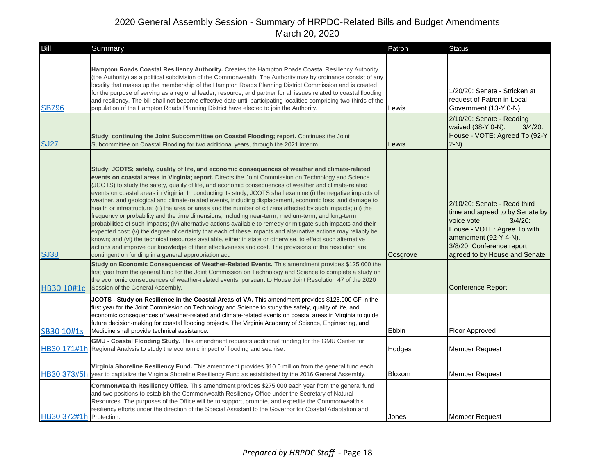| Bill                    | Summary                                                                                                                                                                                                                                                                                                                                                                                                                                                                                                                                                                                                                                                                                                                                                                                                                                                                                                                                                                                                                                                                                                                                                                                                                                                                                     | Patron   | <b>Status</b>                                                                                                                                                                                                      |
|-------------------------|---------------------------------------------------------------------------------------------------------------------------------------------------------------------------------------------------------------------------------------------------------------------------------------------------------------------------------------------------------------------------------------------------------------------------------------------------------------------------------------------------------------------------------------------------------------------------------------------------------------------------------------------------------------------------------------------------------------------------------------------------------------------------------------------------------------------------------------------------------------------------------------------------------------------------------------------------------------------------------------------------------------------------------------------------------------------------------------------------------------------------------------------------------------------------------------------------------------------------------------------------------------------------------------------|----------|--------------------------------------------------------------------------------------------------------------------------------------------------------------------------------------------------------------------|
| <b>SB796</b>            | Hampton Roads Coastal Resiliency Authority. Creates the Hampton Roads Coastal Resiliency Authority<br>(the Authority) as a political subdivision of the Commonwealth. The Authority may by ordinance consist of any<br>locality that makes up the membership of the Hampton Roads Planning District Commission and is created<br>for the purpose of serving as a regional leader, resource, and partner for all issues related to coastal flooding<br>and resiliency. The bill shall not become effective date until participating localities comprising two-thirds of the<br>population of the Hampton Roads Planning District have elected to join the Authority.                                                                                                                                                                                                                                                                                                                                                                                                                                                                                                                                                                                                                         | Lewis    | 1/20/20: Senate - Stricken at<br>request of Patron in Local<br>Government (13-Y 0-N)<br>$2/10/20$ : Senate - Reading<br>waived (38-Y 0-N).<br>$3/4/20$ :                                                           |
| <b>SJ27</b>             | Study; continuing the Joint Subcommittee on Coastal Flooding; report. Continues the Joint<br>Subcommittee on Coastal Flooding for two additional years, through the 2021 interim.                                                                                                                                                                                                                                                                                                                                                                                                                                                                                                                                                                                                                                                                                                                                                                                                                                                                                                                                                                                                                                                                                                           | Lewis    | House - VOTE: Agreed To (92-Y<br>$2-N$ ).                                                                                                                                                                          |
| <b>SJ38</b>             | Study; JCOTS; safety, quality of life, and economic consequences of weather and climate-related<br>events on coastal areas in Virginia; report. Directs the Joint Commission on Technology and Science<br>(JCOTS) to study the safety, quality of life, and economic consequences of weather and climate-related<br>events on coastal areas in Virginia. In conducting its study, JCOTS shall examine (i) the negative impacts of<br>weather, and geological and climate-related events, including displacement, economic loss, and damage to<br>health or infrastructure; (ii) the area or areas and the number of citizens affected by such impacts; (iii) the<br>frequency or probability and the time dimensions, including near-term, medium-term, and long-term<br>probabilities of such impacts; (iv) alternative actions available to remedy or mitigate such impacts and their<br>expected cost; (v) the degree of certainty that each of these impacts and alternative actions may reliably be<br>known; and (vi) the technical resources available, either in state or otherwise, to effect such alternative<br>actions and improve our knowledge of their effectiveness and cost. The provisions of the resolution are<br>contingent on funding in a general appropriation act. | Cosgrove | 2/10/20: Senate - Read third<br>time and agreed to by Senate by<br>$3/4/20$ :<br>voice vote.<br>House - VOTE: Agree To with<br>amendment (92-Y 4-N).<br>3/8/20: Conference report<br>agreed to by House and Senate |
| HB30 10#1c              | Study on Economic Consequences of Weather-Related Events. This amendment provides \$125,000 the<br>first year from the general fund for the Joint Commission on Technology and Science to complete a study on<br>the economic consequences of weather-related events, pursuant to House Joint Resolution 47 of the 2020<br>Session of the General Assembly.                                                                                                                                                                                                                                                                                                                                                                                                                                                                                                                                                                                                                                                                                                                                                                                                                                                                                                                                 |          | <b>Conference Report</b>                                                                                                                                                                                           |
| SB30 10#1s              | JCOTS - Study on Resilience in the Coastal Areas of VA. This amendment provides \$125,000 GF in the<br>first year for the Joint Commission on Technology and Science to study the safety, quality of life, and<br>economic consequences of weather-related and climate-related events on coastal areas in Virginia to guide<br>future decision-making for coastal flooding projects. The Virginia Academy of Science, Engineering, and<br>Medicine shall provide technical assistance.                                                                                                                                                                                                                                                                                                                                                                                                                                                                                                                                                                                                                                                                                                                                                                                                      | Ebbin    | Floor Approved                                                                                                                                                                                                     |
|                         | GMU - Coastal Flooding Study. This amendment requests additional funding for the GMU Center for<br>HB30 171#1h Regional Analysis to study the economic impact of flooding and sea rise.                                                                                                                                                                                                                                                                                                                                                                                                                                                                                                                                                                                                                                                                                                                                                                                                                                                                                                                                                                                                                                                                                                     | Hodges   | <b>Member Request</b>                                                                                                                                                                                              |
|                         | Virginia Shoreline Resiliency Fund. This amendment provides \$10.0 million from the general fund each<br>HB30 373#5h year to capitalize the Virginia Shoreline Resiliency Fund as established by the 2016 General Assembly.                                                                                                                                                                                                                                                                                                                                                                                                                                                                                                                                                                                                                                                                                                                                                                                                                                                                                                                                                                                                                                                                 | Bloxom   | <b>Member Request</b>                                                                                                                                                                                              |
| HB30 372#1h Protection. | Commonwealth Resiliency Office. This amendment provides \$275,000 each year from the general fund<br>and two positions to establish the Commonwealth Resiliency Office under the Secretary of Natural<br>Resources. The purposes of the Office will be to support, promote, and expedite the Commonwealth's<br>resiliency efforts under the direction of the Special Assistant to the Governor for Coastal Adaptation and                                                                                                                                                                                                                                                                                                                                                                                                                                                                                                                                                                                                                                                                                                                                                                                                                                                                   | Jones    | <b>Member Request</b>                                                                                                                                                                                              |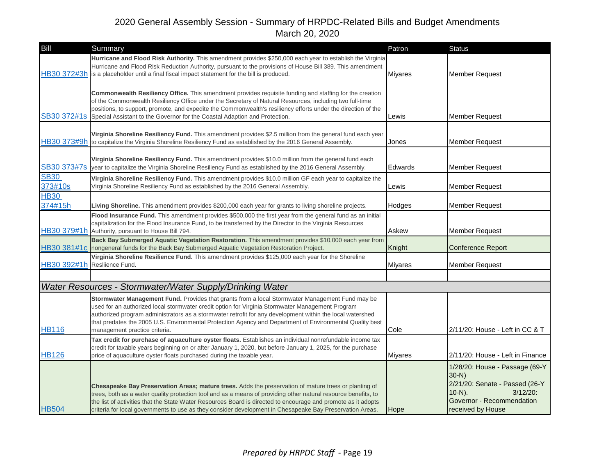| Bill                         | Summary                                                                                                                                                                                                                                                                                                                                                                                                                                                       | Patron         | <b>Status</b>                                                                                                                                              |
|------------------------------|---------------------------------------------------------------------------------------------------------------------------------------------------------------------------------------------------------------------------------------------------------------------------------------------------------------------------------------------------------------------------------------------------------------------------------------------------------------|----------------|------------------------------------------------------------------------------------------------------------------------------------------------------------|
|                              | Hurricane and Flood Risk Authority. This amendment provides \$250,000 each year to establish the Virginia<br>Hurricane and Flood Risk Reduction Authority, pursuant to the provisions of House Bill 389. This amendment<br>HB30 372#3h is a placeholder until a final fiscal impact statement for the bill is produced.                                                                                                                                       | Miyares        | <b>Member Request</b>                                                                                                                                      |
| SB30 372#1s                  | <b>Commonwealth Resiliency Office.</b> This amendment provides requisite funding and staffing for the creation<br>of the Commonwealth Resiliency Office under the Secretary of Natural Resources, including two full-time<br>positions, to support, promote, and expedite the Commonwealth's resiliency efforts under the direction of the<br>Special Assistant to the Governor for the Coastal Adaption and Protection.                                      | Lewis          | <b>Member Request</b>                                                                                                                                      |
|                              | Virginia Shoreline Resiliency Fund. This amendment provides \$2.5 million from the general fund each year<br>HB30 373#9h to capitalize the Virginia Shoreline Resiliency Fund as established by the 2016 General Assembly.                                                                                                                                                                                                                                    | Jones          | <b>Member Request</b>                                                                                                                                      |
| SB30 373#7s                  | Virginia Shoreline Resiliency Fund. This amendment provides \$10.0 million from the general fund each<br>year to capitalize the Virginia Shoreline Resiliency Fund as established by the 2016 General Assembly.                                                                                                                                                                                                                                               | Edwards        | <b>Member Request</b>                                                                                                                                      |
| <b>SB30</b><br>373#10s       | Virginia Shoreline Resiliency Fund. This amendment provides \$10.0 million GF each year to capitalize the<br>Virginia Shoreline Resiliency Fund as established by the 2016 General Assembly.                                                                                                                                                                                                                                                                  | Lewis          | <b>Member Request</b>                                                                                                                                      |
| <b>HB30</b><br>374#15h       | Living Shoreline. This amendment provides \$200,000 each year for grants to living shoreline projects.                                                                                                                                                                                                                                                                                                                                                        | Hodges         | <b>Member Request</b>                                                                                                                                      |
|                              | Flood Insurance Fund. This amendment provides \$500,000 the first year from the general fund as an initial<br>capitalization for the Flood Insurance Fund, to be transferred by the Director to the Virginia Resources<br>HB30 379#1h Authority, pursuant to House Bill 794.                                                                                                                                                                                  | Askew          | <b>Member Request</b>                                                                                                                                      |
|                              | Back Bay Submerged Aquatic Vegetation Restoration. This amendment provides \$10,000 each year from<br>HB30 381#1c nongeneral funds for the Back Bay Submerged Aquatic Vegetation Restoration Project.                                                                                                                                                                                                                                                         | Knight         | <b>Conference Report</b>                                                                                                                                   |
| HB30 392#1h Resliience Fund. | Virginia Shoreline Resilience Fund. This amendment provides \$125,000 each year for the Shoreline                                                                                                                                                                                                                                                                                                                                                             | <b>Miyares</b> | <b>Member Request</b>                                                                                                                                      |
|                              |                                                                                                                                                                                                                                                                                                                                                                                                                                                               |                |                                                                                                                                                            |
|                              | Water Resources - Stormwater/Water Supply/Drinking Water                                                                                                                                                                                                                                                                                                                                                                                                      |                |                                                                                                                                                            |
| <b>HB116</b>                 | Stormwater Management Fund. Provides that grants from a local Stormwater Management Fund may be<br>used for an authorized local stormwater credit option for Virginia Stormwater Management Program<br>authorized program administrators as a stormwater retrofit for any development within the local watershed<br>that predates the 2005 U.S. Environmental Protection Agency and Department of Environmental Quality best<br>management practice criteria. | Cole           | 2/11/20: House - Left in CC & T                                                                                                                            |
| <b>HB126</b>                 | Tax credit for purchase of aquaculture oyster floats. Establishes an individual nonrefundable income tax<br>credit for taxable years beginning on or after January 1, 2020, but before January 1, 2025, for the purchase<br>price of aquaculture oyster floats purchased during the taxable year.                                                                                                                                                             | <b>Miyares</b> | 2/11/20: House - Left in Finance                                                                                                                           |
| <b>HB504</b>                 | Chesapeake Bay Preservation Areas; mature trees. Adds the preservation of mature trees or planting of<br>trees, both as a water quality protection tool and as a means of providing other natural resource benefits, to<br>the list of activities that the State Water Resources Board is directed to encourage and promote as it adopts<br>criteria for local governments to use as they consider development in Chesapeake Bay Preservation Areas.          | Hope           | 1/28/20: House - Passage (69-Y<br>$30-N$ )<br>2/21/20: Senate - Passed (26-Y<br>$10-N$ ).<br>$3/12/20$ :<br>Governor - Recommendation<br>received by House |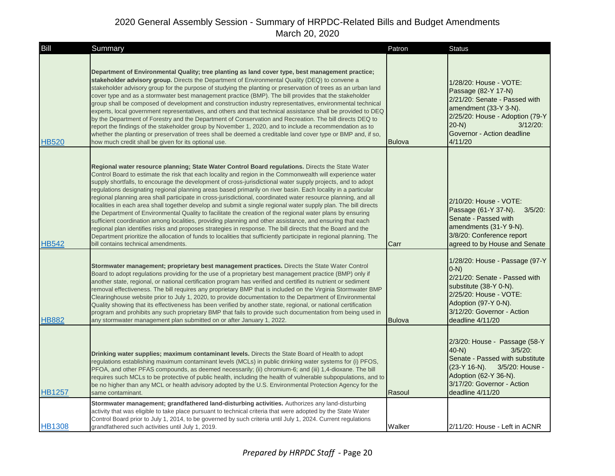| Bill          | Summary                                                                                                                                                                                                                                                                                                                                                                                                                                                                                                                                                                                                                                                                                                                                                                                                                                                                                                                                                                                                                                                                                                                                                                                     | Patron        | <b>Status</b>                                                                                                                                                                                                |
|---------------|---------------------------------------------------------------------------------------------------------------------------------------------------------------------------------------------------------------------------------------------------------------------------------------------------------------------------------------------------------------------------------------------------------------------------------------------------------------------------------------------------------------------------------------------------------------------------------------------------------------------------------------------------------------------------------------------------------------------------------------------------------------------------------------------------------------------------------------------------------------------------------------------------------------------------------------------------------------------------------------------------------------------------------------------------------------------------------------------------------------------------------------------------------------------------------------------|---------------|--------------------------------------------------------------------------------------------------------------------------------------------------------------------------------------------------------------|
| <b>HB520</b>  | Department of Environmental Quality; tree planting as land cover type, best management practice;<br>stakeholder advisory group. Directs the Department of Environmental Quality (DEQ) to convene a<br>stakeholder advisory group for the purpose of studying the planting or preservation of trees as an urban land<br>cover type and as a stormwater best management practice (BMP). The bill provides that the stakeholder<br>group shall be composed of development and construction industry representatives, environmental technical<br>experts, local government representatives, and others and that technical assistance shall be provided to DEQ<br>by the Department of Forestry and the Department of Conservation and Recreation. The bill directs DEQ to<br>report the findings of the stakeholder group by November 1, 2020, and to include a recommendation as to<br>whether the planting or preservation of trees shall be deemed a creditable land cover type or BMP and, if so,<br>how much credit shall be given for its optional use.                                                                                                                                   | <b>Bulova</b> | 1/28/20: House - VOTE:<br>Passage (82-Y 17-N)<br>2/21/20: Senate - Passed with<br>amendment (33-Y 3-N).<br>2/25/20: House - Adoption (79-Y<br>$3/12/20$ :<br>$20-N$<br>Governor - Action deadline<br>4/11/20 |
| <b>HB542</b>  | Regional water resource planning; State Water Control Board regulations. Directs the State Water<br>Control Board to estimate the risk that each locality and region in the Commonwealth will experience water<br>supply shortfalls, to encourage the development of cross-jurisdictional water supply projects, and to adopt<br>regulations designating regional planning areas based primarily on river basin. Each locality in a particular<br>regional planning area shall participate in cross-jurisdictional, coordinated water resource planning, and all<br>localities in each area shall together develop and submit a single regional water supply plan. The bill directs<br>the Department of Environmental Quality to facilitate the creation of the regional water plans by ensuring<br>sufficient coordination among localities, providing planning and other assistance, and ensuring that each<br>regional plan identifies risks and proposes strategies in response. The bill directs that the Board and the<br>Department prioritize the allocation of funds to localities that sufficiently participate in regional planning. The<br>bill contains technical amendments. | Carr          | 2/10/20: House - VOTE:<br>Passage (61-Y 37-N). 3/5/20:<br>Senate - Passed with<br>amendments (31-Y 9-N).<br>3/8/20: Conference report<br>agreed to by House and Senate                                       |
| <b>HB882</b>  | Stormwater management; proprietary best management practices. Directs the State Water Control<br>Board to adopt regulations providing for the use of a proprietary best management practice (BMP) only if<br>another state, regional, or national certification program has verified and certified its nutrient or sediment<br>removal effectiveness. The bill requires any proprietary BMP that is included on the Virginia Stormwater BMP<br>Clearinghouse website prior to July 1, 2020, to provide documentation to the Department of Environmental<br>Quality showing that its effectiveness has been verified by another state, regional, or national certification<br>program and prohibits any such proprietary BMP that fails to provide such documentation from being used in<br>any stormwater management plan submitted on or after January 1, 2022.                                                                                                                                                                                                                                                                                                                            | <b>Bulova</b> | 1/28/20: House - Passage (97-Y)<br>$(0-N)$<br>2/21/20: Senate - Passed with<br>substitute (38-Y 0-N).<br>2/25/20: House - VOTE:<br>Adoption (97-Y 0-N).<br>3/12/20: Governor - Action<br>deadline 4/11/20    |
| <b>HB1257</b> | Drinking water supplies; maximum contaminant levels. Directs the State Board of Health to adopt<br>regulations establishing maximum contaminant levels (MCLs) in public drinking water systems for (i) PFOS,<br>PFOA, and other PFAS compounds, as deemed necessarily; (ii) chromium-6; and (iii) 1,4-dioxane. The bill<br>requires such MCLs to be protective of public health, including the health of vulnerable subpopulations, and to<br>be no higher than any MCL or health advisory adopted by the U.S. Environmental Protection Agency for the<br>same contaminant.                                                                                                                                                                                                                                                                                                                                                                                                                                                                                                                                                                                                                 | Rasoul        | 2/3/20: House - Passage (58-Y<br>$40-N$ )<br>$3/5/20$ :<br>Senate - Passed with substitute<br>$(23-Y 16-N)$ .<br>3/5/20: House -<br>Adoption (62-Y 36-N).<br>3/17/20: Governor - Action<br>deadline 4/11/20  |
| <b>HB1308</b> | Stormwater management; grandfathered land-disturbing activities. Authorizes any land-disturbing<br>activity that was eligible to take place pursuant to technical criteria that were adopted by the State Water<br>Control Board prior to July 1, 2014, to be governed by such criteria until July 1, 2024. Current regulations<br>grandfathered such activities until July 1, 2019.                                                                                                                                                                                                                                                                                                                                                                                                                                                                                                                                                                                                                                                                                                                                                                                                        | Walker        | 2/11/20: House - Left in ACNR                                                                                                                                                                                |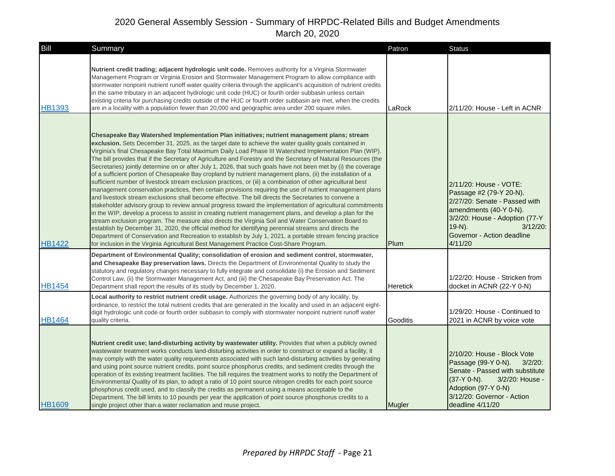| Bill          | Summary                                                                                                                                                                                                                                                                                                                                                                                                                                                                                                                                                                                                                                                                                                                                                                                                                                                                                                                                                                                                                                                                                                                                                                                                                                                                                                                                                                                                                                                                                                                                                                                                                                                        | Patron          | <b>Status</b>                                                                                                                                                                                                       |
|---------------|----------------------------------------------------------------------------------------------------------------------------------------------------------------------------------------------------------------------------------------------------------------------------------------------------------------------------------------------------------------------------------------------------------------------------------------------------------------------------------------------------------------------------------------------------------------------------------------------------------------------------------------------------------------------------------------------------------------------------------------------------------------------------------------------------------------------------------------------------------------------------------------------------------------------------------------------------------------------------------------------------------------------------------------------------------------------------------------------------------------------------------------------------------------------------------------------------------------------------------------------------------------------------------------------------------------------------------------------------------------------------------------------------------------------------------------------------------------------------------------------------------------------------------------------------------------------------------------------------------------------------------------------------------------|-----------------|---------------------------------------------------------------------------------------------------------------------------------------------------------------------------------------------------------------------|
| <b>HB1393</b> | Nutrient credit trading; adjacent hydrologic unit code. Removes authority for a Virginia Stormwater<br>Management Program or Virginia Erosion and Stormwater Management Program to allow compliance with<br>stormwater nonpoint nutrient runoff water quality criteria through the applicant's acquisition of nutrient credits<br>in the same tributary in an adjacent hydrologic unit code (HUC) or fourth order subbasin unless certain<br>existing criteria for purchasing credits outside of the HUC or fourth order subbasin are met, when the credits<br>are in a locality with a population fewer than 20,000 and geographic area under 200 square miles.                                                                                                                                                                                                                                                                                                                                                                                                                                                                                                                                                                                                                                                                                                                                                                                                                                                                                                                                                                                               | LaRock          | 2/11/20: House - Left in ACNR                                                                                                                                                                                       |
| <b>HB1422</b> | Chesapeake Bay Watershed Implementation Plan initiatives; nutrient management plans; stream<br>exclusion. Sets December 31, 2025, as the target date to achieve the water quality goals contained in<br>Virginia's final Chesapeake Bay Total Maximum Daily Load Phase III Watershed Implementation Plan (WIP).<br>The bill provides that if the Secretary of Agriculture and Forestry and the Secretary of Natural Resources (the<br>Secretaries) jointly determine on or after July 1, 2026, that such goals have not been met by (i) the coverage<br>of a sufficient portion of Chesapeake Bay cropland by nutrient management plans, (ii) the installation of a<br>sufficient number of livestock stream exclusion practices, or (iii) a combination of other agricultural best<br>management conservation practices, then certain provisions requiring the use of nutrient management plans<br>and livestock stream exclusions shall become effective. The bill directs the Secretaries to convene a<br>stakeholder advisory group to review annual progress toward the implementation of agricultural commitments<br>in the WIP, develop a process to assist in creating nutrient management plans, and develop a plan for the<br>stream exclusion program. The measure also directs the Virginia Soil and Water Conservation Board to<br>establish by December 31, 2020, the official method for identifying perennial streams and directs the<br>Department of Conservation and Recreation to establish by July 1, 2021, a portable stream fencing practice<br>for inclusion in the Virginia Agricultural Best Management Practice Cost-Share Program. | Plum            | 2/11/20: House - VOTE:<br>Passage #2 (79-Y 20-N).<br>2/27/20: Senate - Passed with<br>amendments (40-Y 0-N).<br>3/2/20: House - Adoption (77-Y<br>$19-N$ ).<br>$3/12/20$ :<br>Governor - Action deadline<br>4/11/20 |
| <b>HB1454</b> | Department of Environmental Quality; consolidation of erosion and sediment control, stormwater,<br>and Chesapeake Bay preservation laws. Directs the Department of Environmental Quality to study the<br>statutory and regulatory changes necessary to fully integrate and consolidate (i) the Erosion and Sediment<br>Control Law, (ii) the Stormwater Management Act, and (iii) the Chesapeake Bay Preservation Act. The<br>Department shall report the results of its study by December 1, 2020.                                                                                                                                                                                                                                                                                                                                                                                                                                                                                                                                                                                                                                                                                                                                                                                                                                                                                                                                                                                                                                                                                                                                                            | <b>Heretick</b> | 1/22/20: House - Stricken from<br>docket in ACNR (22-Y 0-N)                                                                                                                                                         |
| <b>HB1464</b> | Local authority to restrict nutrient credit usage. Authorizes the governing body of any locality, by<br>ordinance, to restrict the total nutrient credits that are generated in the locality and used in an adjacent eight-<br>digit hydrologic unit code or fourth order subbasin to comply with stormwater nonpoint nutrient runoff water<br>quality criteria.                                                                                                                                                                                                                                                                                                                                                                                                                                                                                                                                                                                                                                                                                                                                                                                                                                                                                                                                                                                                                                                                                                                                                                                                                                                                                               | Gooditis        | 1/29/20: House - Continued to<br>2021 in ACNR by voice vote                                                                                                                                                         |
| <b>HB1609</b> | Nutrient credit use; land-disturbing activity by wastewater utility. Provides that when a publicly owned<br>wastewater treatment works conducts land-disturbing activities in order to construct or expand a facility, it<br>may comply with the water quality requirements associated with such land-disturbing activities by generating<br>and using point source nutrient credits, point source phosphorus credits, and sediment credits through the<br>operation of its existing treatment facilities. The bill requires the treatment works to notify the Department of<br>Environmental Quality of its plan, to adopt a ratio of 10 point source nitrogen credits for each point source<br>phosphorus credit used, and to classify the credits as permanent using a means acceptable to the<br>Department. The bill limits to 10 pounds per year the application of point source phosphorus credits to a<br>single project other than a water reclamation and reuse project.                                                                                                                                                                                                                                                                                                                                                                                                                                                                                                                                                                                                                                                                             | Mugler          | 2/10/20: House - Block Vote<br>Passage (99-Y 0-N).<br>$3/2/20$ :<br>Senate - Passed with substitute<br>$(37-Y 0-N)$ .<br>3/2/20: House -<br>Adoption (97-Y 0-N)<br>3/12/20: Governor - Action<br>deadline 4/11/20   |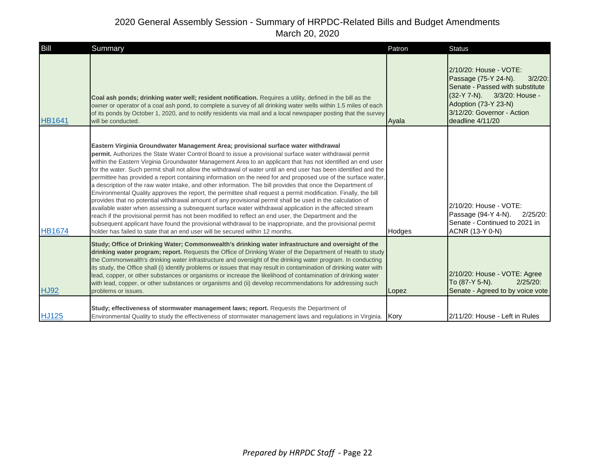| Bill          | Summary                                                                                                                                                                                                                                                                                                                                                                                                                                                                                                                                                                                                                                                                                                                                                                                                                                                                                                                                                                                                                                                                                                                                                                                                                                                                                                             | Patron | <b>Status</b>                                                                                                                                                                                            |
|---------------|---------------------------------------------------------------------------------------------------------------------------------------------------------------------------------------------------------------------------------------------------------------------------------------------------------------------------------------------------------------------------------------------------------------------------------------------------------------------------------------------------------------------------------------------------------------------------------------------------------------------------------------------------------------------------------------------------------------------------------------------------------------------------------------------------------------------------------------------------------------------------------------------------------------------------------------------------------------------------------------------------------------------------------------------------------------------------------------------------------------------------------------------------------------------------------------------------------------------------------------------------------------------------------------------------------------------|--------|----------------------------------------------------------------------------------------------------------------------------------------------------------------------------------------------------------|
| <b>HB1641</b> | Coal ash ponds; drinking water well; resident notification. Requires a utility, defined in the bill as the<br>owner or operator of a coal ash pond, to complete a survey of all drinking water wells within 1.5 miles of each<br>of its ponds by October 1, 2020, and to notify residents via mail and a local newspaper posting that the survey<br>will be conducted.                                                                                                                                                                                                                                                                                                                                                                                                                                                                                                                                                                                                                                                                                                                                                                                                                                                                                                                                              | Avala  | 2/10/20: House - VOTE:<br>Passage (75-Y 24-N).<br>$3/2/20$ :<br>Senate - Passed with substitute<br>(32-Y 7-N). 3/3/20: House -<br>Adoption (73-Y 23-N)<br>3/12/20: Governor - Action<br>deadline 4/11/20 |
| <b>HB1674</b> | Eastern Virginia Groundwater Management Area; provisional surface water withdrawal<br>permit. Authorizes the State Water Control Board to issue a provisional surface water withdrawal permit<br>within the Eastern Virginia Groundwater Management Area to an applicant that has not identified an end user<br>for the water. Such permit shall not allow the withdrawal of water until an end user has been identified and the<br>permittee has provided a report containing information on the need for and proposed use of the surface water,<br>a description of the raw water intake, and other information. The bill provides that once the Department of<br>Environmental Quality approves the report, the permittee shall request a permit modification. Finally, the bill<br>provides that no potential withdrawal amount of any provisional permit shall be used in the calculation of<br>available water when assessing a subsequent surface water withdrawal application in the affected stream<br>reach if the provisional permit has not been modified to reflect an end user, the Department and the<br>subsequent applicant have found the provisional withdrawal to be inappropriate, and the provisional permit<br>holder has failed to state that an end user will be secured within 12 months. | Hodges | 2/10/20: House - VOTE:<br>Passage (94-Y 4-N).<br>$2/25/20$ :<br>Senate - Continued to 2021 in<br>ACNR (13-Y 0-N)                                                                                         |
| <b>HJ92</b>   | Study; Office of Drinking Water; Commonwealth's drinking water infrastructure and oversight of the<br>drinking water program; report. Requests the Office of Drinking Water of the Department of Health to study<br>the Commonwealth's drinking water infrastructure and oversight of the drinking water program. In conducting<br>its study, the Office shall (i) identify problems or issues that may result in contamination of drinking water with<br>lead, copper, or other substances or organisms or increase the likelihood of contamination of drinking water<br>with lead, copper, or other substances or organisms and (ii) develop recommendations for addressing such<br>problems or issues.                                                                                                                                                                                                                                                                                                                                                                                                                                                                                                                                                                                                           | Lopez  | 2/10/20: House - VOTE: Agree<br>To (87-Y 5-N).<br>$2/25/20$ :<br>Senate - Agreed to by voice vote                                                                                                        |
| <b>HJ125</b>  | Study; effectiveness of stormwater management laws; report. Requests the Department of<br>Environmental Quality to study the effectiveness of stormwater management laws and regulations in Virginia. Kory                                                                                                                                                                                                                                                                                                                                                                                                                                                                                                                                                                                                                                                                                                                                                                                                                                                                                                                                                                                                                                                                                                          |        | 2/11/20: House - Left in Rules                                                                                                                                                                           |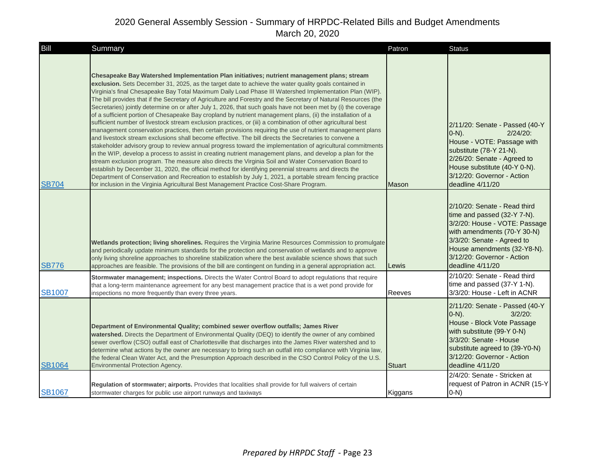| Bill          | Summary                                                                                                                                                                                                                                                                                                                                                                                                                                                                                                                                                                                                                                                                                                                                                                                                                                                                                                                                                                                                                                                                                                                                                                                                                                                                                                                                                                                                                                                                                                                                                                                                                                                        | Patron  | <b>Status</b>                                                                                                                                                                                                                              |
|---------------|----------------------------------------------------------------------------------------------------------------------------------------------------------------------------------------------------------------------------------------------------------------------------------------------------------------------------------------------------------------------------------------------------------------------------------------------------------------------------------------------------------------------------------------------------------------------------------------------------------------------------------------------------------------------------------------------------------------------------------------------------------------------------------------------------------------------------------------------------------------------------------------------------------------------------------------------------------------------------------------------------------------------------------------------------------------------------------------------------------------------------------------------------------------------------------------------------------------------------------------------------------------------------------------------------------------------------------------------------------------------------------------------------------------------------------------------------------------------------------------------------------------------------------------------------------------------------------------------------------------------------------------------------------------|---------|--------------------------------------------------------------------------------------------------------------------------------------------------------------------------------------------------------------------------------------------|
| <b>SB704</b>  | Chesapeake Bay Watershed Implementation Plan initiatives; nutrient management plans; stream<br>exclusion. Sets December 31, 2025, as the target date to achieve the water quality goals contained in<br>Virginia's final Chesapeake Bay Total Maximum Daily Load Phase III Watershed Implementation Plan (WIP).<br>The bill provides that if the Secretary of Agriculture and Forestry and the Secretary of Natural Resources (the<br>Secretaries) jointly determine on or after July 1, 2026, that such goals have not been met by (i) the coverage<br>of a sufficient portion of Chesapeake Bay cropland by nutrient management plans, (ii) the installation of a<br>sufficient number of livestock stream exclusion practices, or (iii) a combination of other agricultural best<br>management conservation practices, then certain provisions requiring the use of nutrient management plans<br>and livestock stream exclusions shall become effective. The bill directs the Secretaries to convene a<br>stakeholder advisory group to review annual progress toward the implementation of agricultural commitments<br>in the WIP, develop a process to assist in creating nutrient management plans, and develop a plan for the<br>stream exclusion program. The measure also directs the Virginia Soil and Water Conservation Board to<br>establish by December 31, 2020, the official method for identifying perennial streams and directs the<br>Department of Conservation and Recreation to establish by July 1, 2021, a portable stream fencing practice<br>for inclusion in the Virginia Agricultural Best Management Practice Cost-Share Program. | Mason   | 2/11/20: Senate - Passed (40-Y<br>$(0-N)$ .<br>$2/24/20$ :<br>House - VOTE: Passage with<br>substitute (78-Y 21-N).<br>2/26/20: Senate - Agreed to<br>House substitute (40-Y 0-N).<br>3/12/20: Governor - Action<br>deadline 4/11/20       |
| <b>SB776</b>  | Wetlands protection; living shorelines. Requires the Virginia Marine Resources Commission to promulgate<br>and periodically update minimum standards for the protection and conservation of wetlands and to approve<br>only living shoreline approaches to shoreline stabilization where the best available science shows that such<br>approaches are feasible. The provisions of the bill are contingent on funding in a general appropriation act.                                                                                                                                                                                                                                                                                                                                                                                                                                                                                                                                                                                                                                                                                                                                                                                                                                                                                                                                                                                                                                                                                                                                                                                                           | Lewis   | 2/10/20: Senate - Read third<br>time and passed (32-Y 7-N).<br>3/2/20: House - VOTE: Passage<br>with amendments (70-Y 30-N)<br>3/3/20: Senate - Agreed to<br>House amendments (32-Y8-N).<br>3/12/20: Governor - Action<br>deadline 4/11/20 |
| <b>SB1007</b> | Stormwater management; inspections. Directs the Water Control Board to adopt regulations that require<br>that a long-term maintenance agreement for any best management practice that is a wet pond provide for<br>inspections no more frequently than every three years.                                                                                                                                                                                                                                                                                                                                                                                                                                                                                                                                                                                                                                                                                                                                                                                                                                                                                                                                                                                                                                                                                                                                                                                                                                                                                                                                                                                      | Reeves  | 2/10/20: Senate - Read third<br>time and passed (37-Y 1-N).<br>3/3/20: House - Left in ACNR                                                                                                                                                |
| <b>SB1064</b> | Department of Environmental Quality; combined sewer overflow outfalls; James River<br>watershed. Directs the Department of Environmental Quality (DEQ) to identify the owner of any combined<br>sewer overflow (CSO) outfall east of Charlottesville that discharges into the James River watershed and to<br>determine what actions by the owner are necessary to bring such an outfall into compliance with Virginia law,<br>the federal Clean Water Act, and the Presumption Approach described in the CSO Control Policy of the U.S.<br><b>Environmental Protection Agency.</b>                                                                                                                                                                                                                                                                                                                                                                                                                                                                                                                                                                                                                                                                                                                                                                                                                                                                                                                                                                                                                                                                            | Stuart  | 2/11/20: Senate - Passed (40-Y<br>$(0-N)$ .<br>$3/2/20$ :<br>House - Block Vote Passage<br>with substitute (99-Y 0-N)<br>3/3/20: Senate - House<br>substitute agreed to (39-Y0-N)<br>3/12/20: Governor - Action<br>deadline 4/11/20        |
| <b>SB1067</b> | Regulation of stormwater; airports. Provides that localities shall provide for full waivers of certain<br>stormwater charges for public use airport runways and taxiways                                                                                                                                                                                                                                                                                                                                                                                                                                                                                                                                                                                                                                                                                                                                                                                                                                                                                                                                                                                                                                                                                                                                                                                                                                                                                                                                                                                                                                                                                       | Kiggans | 2/4/20: Senate - Stricken at<br>request of Patron in ACNR (15-Y<br>$0-N$ )                                                                                                                                                                 |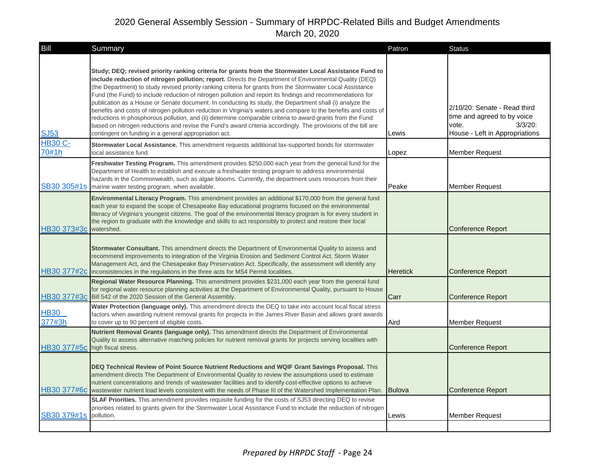| <b>Bill</b>                     | Summary                                                                                                                                                                                                                                                                                                                                                                                                                                                                                                                                                                                                                                                                                                                                                                                                                                                                                                                                                             | Patron          | <b>Status</b>                                                                                                        |
|---------------------------------|---------------------------------------------------------------------------------------------------------------------------------------------------------------------------------------------------------------------------------------------------------------------------------------------------------------------------------------------------------------------------------------------------------------------------------------------------------------------------------------------------------------------------------------------------------------------------------------------------------------------------------------------------------------------------------------------------------------------------------------------------------------------------------------------------------------------------------------------------------------------------------------------------------------------------------------------------------------------|-----------------|----------------------------------------------------------------------------------------------------------------------|
| <b>SJ53</b><br><b>HB30 C-</b>   | Study; DEQ; revised priority ranking criteria for grants from the Stormwater Local Assistance Fund to<br>include reduction of nitrogen pollution; report. Directs the Department of Environmental Quality (DEQ)<br>(the Department) to study revised priority ranking criteria for grants from the Stormwater Local Assistance<br>Fund (the Fund) to include reduction of nitrogen pollution and report its findings and recommendations for<br>publication as a House or Senate document. In conducting its study, the Department shall (i) analyze the<br>benefits and costs of nitrogen pollution reduction in Virginia's waters and compare to the benefits and costs of<br>reductions in phosphorous pollution, and (ii) determine comparable criteria to award grants from the Fund<br>based on nitrogen reductions and revise the Fund's award criteria accordingly. The provisions of the bill are<br>contingent on funding in a general appropriation act. | Lewis           | 2/10/20: Senate - Read third<br>time and agreed to by voice<br>$3/3/20$ :<br>vote.<br>House - Left in Appropriations |
| 70#1h                           | Stormwater Local Assistance. This amendment requests additional tax-supported bonds for stormwater<br>local assistance fund.                                                                                                                                                                                                                                                                                                                                                                                                                                                                                                                                                                                                                                                                                                                                                                                                                                        | Lopez           | <b>Member Request</b>                                                                                                |
|                                 | Freshwater Testing Program. This amendment provides \$250,000 each year from the general fund for the<br>Department of Health to establish and execute a freshwater testing program to address environmental<br>hazards in the Commonwealth, such as algae blooms. Currently, the department uses resources from their<br>SB30 305#1s marine water testing program, when available.                                                                                                                                                                                                                                                                                                                                                                                                                                                                                                                                                                                 | Peake           | <b>Member Request</b>                                                                                                |
| HB30 373#3c                     | Environmental Literacy Program. This amendment provides an additional \$170,000 from the general fund<br>each year to expand the scope of Chesapeake Bay educational programs focused on the environmental<br>literacy of Virginia's youngest citizens. The goal of the environmental literacy program is for every student in<br>the region to graduate with the knowledge and skills to act responsibly to protect and restore their local<br>watershed.                                                                                                                                                                                                                                                                                                                                                                                                                                                                                                          |                 | <b>Conference Report</b>                                                                                             |
|                                 | Stormwater Consultant. This amendment directs the Department of Environmental Quality to assess and<br>recommend improvements to integration of the Virginia Erosion and Sediment Control Act, Storm Water<br>Management Act, and the Chesapeake Bay Preservation Act. Specifically, the assessment will identify any<br>HB30 377#2c inconsistencies in the regulations in the three acts for MS4 Permit localities.                                                                                                                                                                                                                                                                                                                                                                                                                                                                                                                                                | <b>Heretick</b> | <b>Conference Report</b>                                                                                             |
|                                 | Regional Water Resource Planning. This amendment provides \$231,000 each year from the general fund<br>for regional water resource planning activities at the Department of Environmental Quality, pursuant to House<br>HB30 377#3c Bill 542 of the 2020 Session of the General Assembly.                                                                                                                                                                                                                                                                                                                                                                                                                                                                                                                                                                                                                                                                           | Carr            | <b>Conference Report</b>                                                                                             |
| <b>HB30</b><br>377#3h           | Water Protection (language only). This amendment directs the DEQ to take into account local fiscal stress<br>factors when awarding nutrient removal grants for projects in the James River Basin and allows grant awards<br>to cover up to 90 percent of eligible costs.                                                                                                                                                                                                                                                                                                                                                                                                                                                                                                                                                                                                                                                                                            | Aird            | <b>Member Request</b>                                                                                                |
| HB30 377#5c high fiscal stress. | Nutrient Removal Grants (language only). This amendment directs the Department of Environmental<br>Quality to assess alternative matching policies for nutrient removal grants for projects serving localities with                                                                                                                                                                                                                                                                                                                                                                                                                                                                                                                                                                                                                                                                                                                                                 |                 | <b>Conference Report</b>                                                                                             |
|                                 | DEQ Technical Review of Point Source Nutrient Reductions and WQIF Grant Savings Proposal. This<br>amendment directs The Department of Environmental Quality to review the assumptions used to estimate<br>nutrient concentrations and trends of wastewater facilities and to identify cost-effective options to achieve<br>HB30 377#6c wastewater nutrient load levels consistent with the needs of Phase III of the Watershed Implementation Plan.                                                                                                                                                                                                                                                                                                                                                                                                                                                                                                                 | <b>Bulova</b>   | <b>Conference Report</b>                                                                                             |
| SB30 379#1s                     | <b>SLAF Priorities.</b> This amendment provides requisite funding for the costs of SJ53 directing DEQ to revise<br>priorities related to grants given for the Stormwater Local Assistance Fund to include the reduction of nitrogen<br>pollution.                                                                                                                                                                                                                                                                                                                                                                                                                                                                                                                                                                                                                                                                                                                   | Lewis           | <b>Member Request</b>                                                                                                |
|                                 |                                                                                                                                                                                                                                                                                                                                                                                                                                                                                                                                                                                                                                                                                                                                                                                                                                                                                                                                                                     |                 |                                                                                                                      |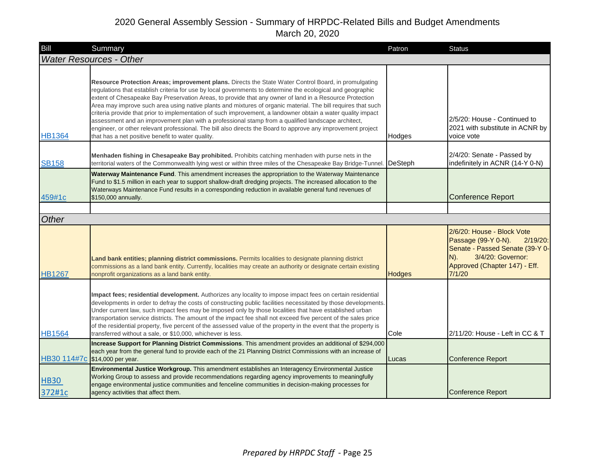| Bill                           | Summary                                                                                                                                                                                                                                                                                                                                                                                                                                                                                                                                                                                                                                                                                                                                                                                                                                   | Patron        | <b>Status</b>                                                                                                                                                                 |
|--------------------------------|-------------------------------------------------------------------------------------------------------------------------------------------------------------------------------------------------------------------------------------------------------------------------------------------------------------------------------------------------------------------------------------------------------------------------------------------------------------------------------------------------------------------------------------------------------------------------------------------------------------------------------------------------------------------------------------------------------------------------------------------------------------------------------------------------------------------------------------------|---------------|-------------------------------------------------------------------------------------------------------------------------------------------------------------------------------|
| <b>Water Resources - Other</b> |                                                                                                                                                                                                                                                                                                                                                                                                                                                                                                                                                                                                                                                                                                                                                                                                                                           |               |                                                                                                                                                                               |
| <b>HB1364</b>                  | Resource Protection Areas; improvement plans. Directs the State Water Control Board, in promulgating<br>regulations that establish criteria for use by local governments to determine the ecological and geographic<br>extent of Chesapeake Bay Preservation Areas, to provide that any owner of land in a Resource Protection<br>Area may improve such area using native plants and mixtures of organic material. The bill requires that such<br>criteria provide that prior to implementation of such improvement, a landowner obtain a water quality impact<br>assessment and an improvement plan with a professional stamp from a qualified landscape architect,<br>engineer, or other relevant professional. The bill also directs the Board to approve any improvement project<br>that has a net positive benefit to water quality. | Hodges        | 2/5/20: House - Continued to<br>2021 with substitute in ACNR by<br>voice vote                                                                                                 |
| <b>SB158</b>                   | Menhaden fishing in Chesapeake Bay prohibited. Prohibits catching menhaden with purse nets in the<br>territorial waters of the Commonwealth lying west or within three miles of the Chesapeake Bay Bridge-Tunnel                                                                                                                                                                                                                                                                                                                                                                                                                                                                                                                                                                                                                          | DeSteph       | 2/4/20: Senate - Passed by<br>indefinitely in ACNR (14-Y 0-N)                                                                                                                 |
| 459#1c                         | Waterway Maintenance Fund. This amendment increases the appropriation to the Waterway Maintenance<br>Fund to \$1.5 million in each year to support shallow-draft dredging projects. The increased allocation to the<br>Waterways Maintenance Fund results in a corresponding reduction in available general fund revenues of<br>\$150,000 annually.                                                                                                                                                                                                                                                                                                                                                                                                                                                                                       |               | <b>Conference Report</b>                                                                                                                                                      |
|                                |                                                                                                                                                                                                                                                                                                                                                                                                                                                                                                                                                                                                                                                                                                                                                                                                                                           |               |                                                                                                                                                                               |
| Other                          |                                                                                                                                                                                                                                                                                                                                                                                                                                                                                                                                                                                                                                                                                                                                                                                                                                           |               |                                                                                                                                                                               |
| <b>HB1267</b>                  | Land bank entities; planning district commissions. Permits localities to designate planning district<br>commissions as a land bank entity. Currently, localities may create an authority or designate certain existing<br>nonprofit organizations as a land bank entity.                                                                                                                                                                                                                                                                                                                                                                                                                                                                                                                                                                  | <b>Hodges</b> | 2/6/20: House - Block Vote<br>Passage (99-Y 0-N).<br>$2/19/20$ :<br>Senate - Passed Senate (39-Y 0-<br>3/4/20: Governor:<br>$N$ ).<br>Approved (Chapter 147) - Eff.<br>7/1/20 |
| <b>HB1564</b>                  | Impact fees; residential development. Authorizes any locality to impose impact fees on certain residential<br>developments in order to defray the costs of constructing public facilities necessitated by those developments.<br>Under current law, such impact fees may be imposed only by those localities that have established urban<br>transportation service districts. The amount of the impact fee shall not exceed five percent of the sales price<br>of the residential property, five percent of the assessed value of the property in the event that the property is<br>transferred without a sale, or \$10,000, whichever is less.                                                                                                                                                                                           | Cole          | 2/11/20: House - Left in CC & T                                                                                                                                               |
| HB30 114#7c                    | Increase Support for Planning District Commissions. This amendment provides an additional of \$294,000<br>each year from the general fund to provide each of the 21 Planning District Commissions with an increase of<br>\$14,000 per year.                                                                                                                                                                                                                                                                                                                                                                                                                                                                                                                                                                                               | Lucas         | <b>Conference Report</b>                                                                                                                                                      |
| <b>HB30</b><br>372#1c          | Environmental Justice Workgroup. This amendment establishes an Interagency Environmental Justice<br>Working Group to assess and provide recommendations regarding agency improvements to meaningfully<br>engage environmental justice communities and fenceline communities in decision-making processes for<br>agency activities that affect them.                                                                                                                                                                                                                                                                                                                                                                                                                                                                                       |               | <b>Conference Report</b>                                                                                                                                                      |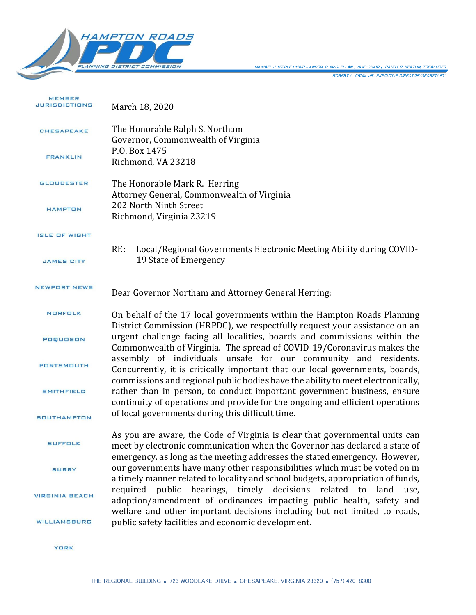

ROBERT A. CRUM, JR., EXECUTIVE DIRECTOR/SECRETARY MICHAEL J. HIPPLE CHAIR *.*ANDRIA P. McCLELLAN , VICE-CHAIR *.* RANDY R. KEATON, TREASURER

MEMBER **JURISDICTIONS** March 18, 2020 The Honorable Ralph S. Northam CHESAPEAKE Governor, Commonwealth of Virginia P.O. Box 1475 FRANKLIN Richmond, VA 23218 **GLOUCESTER** The Honorable Mark R. Herring Attorney General, Commonwealth of Virginia 202 North Ninth Street HAMPTON Richmond, Virginia 23219 ISLE OF WIGHT RE: Local/Regional Governments Electronic Meeting Ability during COVID-19 State of Emergency **JAMES CITY** NEWPORT NEWS Dear Governor Northam and Attorney General Herring: NORFOLK On behalf of the 17 local governments within the Hampton Roads Planning District Commission (HRPDC), we respectfully request your assistance on an urgent challenge facing all localities, boards and commissions within the POQUOSON Commonwealth of Virginia. The spread of COVID-19/Coronavirus makes the assembly of individuals unsafe for our community and residents. **PORTSMOUTH** Concurrently, it is critically important that our local governments, boards, commissions and regional public bodies have the ability to meet electronically, rather than in person, to conduct important government business, ensure **SMITHFIELD** continuity of operations and provide for the ongoing and efficient operations of local governments during this difficult time. **SOUTHAMPTON** As you are aware, the Code of Virginia is clear that governmental units can **SUFFOLK** meet by electronic communication when the Governor has declared a state of emergency, as long as the meeting addresses the stated emergency. However, our governments have many other responsibilities which must be voted on in **SURRY** a timely manner related to locality and school budgets, appropriation of funds, required public hearings, timely decisions related to land use, **VIRGINIA BEACH** adoption/amendment of ordinances impacting public health, safety and welfare and other important decisions including but not limited to roads, public safety facilities and economic development. **WILLIAMSBURG** 

**YORK**